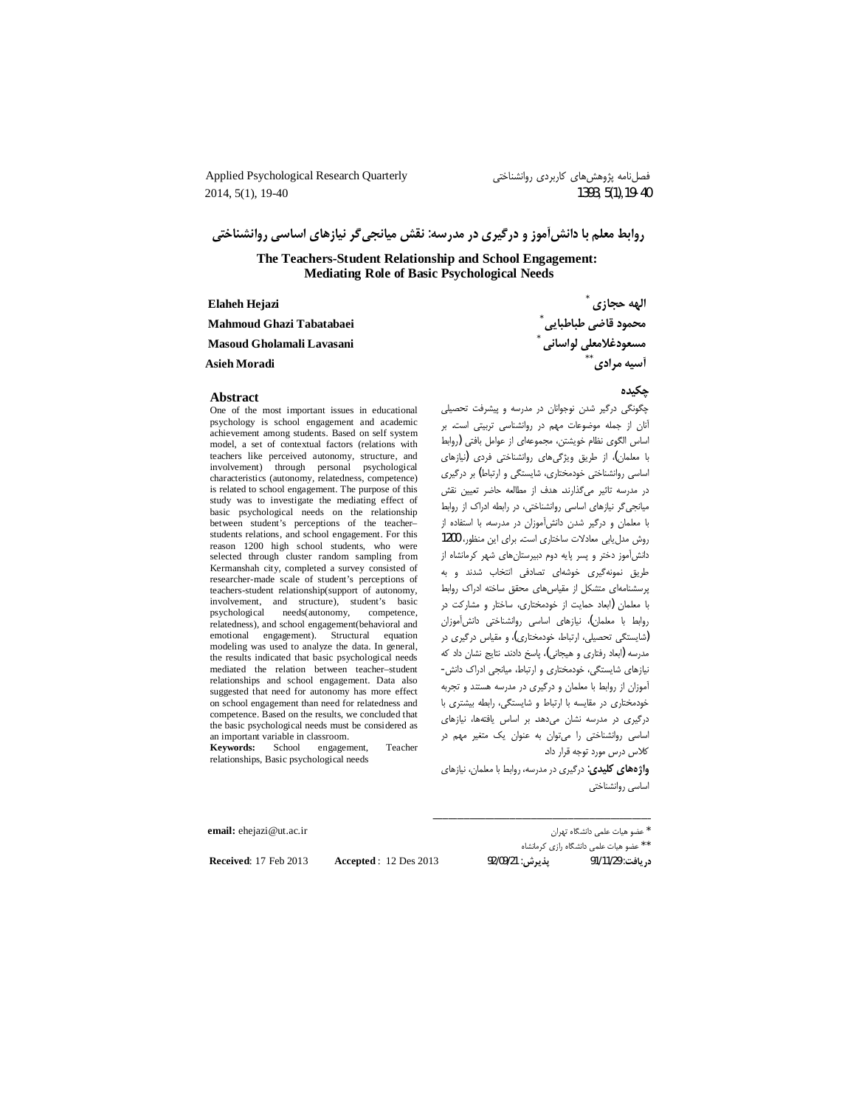Applied Psychological Research Quarterly 2014, 5(1), 19-40

فصلنامه پژوهشهای کاربردی روانشناختی 1393, 5(1), 19-40

روابط معلم با دانش[موز و درگیری در مدرسه: نقش میانجیگر نیازهای اساسی روانشناختی

The Teachers-Student Relationship and School Engagement: **Mediating Role of Basic Psychological Needs** 

| Elaheh Hejazi             | الهه حجازي                      |
|---------------------------|---------------------------------|
| Mahmoud Ghazi Tabatabaei  | محمود قاضي طباطبايي             |
| Masoud Gholamali Lavasani | مسعودغلامعلى لواسانى آ          |
| <b>Asieh Moradi</b>       | <b>آسیه مرادی</b> <sup>**</sup> |

#### **Abstract**

One of the most important issues in educational psychology is school engagement and academic achievement among students. Based on self system model, a set of contextual factors (relations with teachers like perceived autonomy, structure, and involvement) through personal psychological characteristics (autonomy, relatedness, competence) is related to school engagement. The purpose of this study was to investigate the mediating effect of basic psychological needs on the relationship between student's perceptions of the teacherstudents relations, and school engagement. For this reason 1200 high school students, who were selected through cluster random sampling from Kermanshah city, completed a survey consisted of researcher-made scale of student's perceptions of teachers-student relationship(support of autonomy, involvement, and structure), student's basic psychological needs(autonomy, competence. relatedness), and school engagement(behavioral and emotional engagement). Structural equation modeling was used to analyze the data. In general, the results indicated that basic psychological needs mediated the relation between teacher-student relationships and school engagement. Data also suggested that need for autonomy has more effect on school engagement than need for relatedness and competence. Based on the results, we concluded that the basic psychological needs must be considered as an important variable in classroom.

**Keywords:** School engagement, Teacher relationships, Basic psychological needs

جكىدە

چگونگی درگیر شدن نوجوانان در مدرسه و پیشرفت تحصیلی آنان از جمله موضوعات مهم در روانشناسی تربیتی است. بر اساس الگوی نظام خویشتن، مجموعهای از عوامل بافتی (روابط با معلمان)، از طریق ویژگیهای روانشناختی فردی (نیازهای اساسی روانشناختی خودمختاری، شایستگی و ارتباط) بر درگیری در مدرسه تاثیر میگذارند. هدف از مطالعه حاضر تعیین نقش میانجیگر نیازهای اساسی روانشناختی، در رابطه ادراک از روابط با معلمان و درگیر شدن دانشآموزان در مدرسه، با استفاده از روش مدل یابی معادلات ساختاری است. برای این منظور، 1200 دانشآموز دختر و پسر پایه دوم دبیرستانهای شهر کرمانشاه از طریق نمونهگیری خوشهای تصادفی انتخاب شدند و به پرسشنامهای متشکل از مقیاس های محقق ساخته ادراک روابط با معلمان (ابعاد حمایت از خودمختاری، ساختار و مشارکت در روابط با معلمان)، نیازهای اساسی روانشناختی دانش آموزان (شایستگی تحصیلی، ارتباط، خودمختاری)، و مقیاس درگیری در مدرسه (ابعاد رفتاري و هيجاني)، پاسخ دادند. نتايج نشان داد كه نیازهای شایستگی، خودمختاری و ارتباط، میانجی ادراک دانش-آموزان از روابط با معلمان و درگیری در مدرسه هستند و تجربه خودمختاری در مقایسه با ارتباط و شایستگی، رابطه بیشتری با درگیری در مدرسه نشان می دهد. بر اساس یافتهها، نیازهای اساسی روانشناختی را میتوان به عنوان یک متغیر مهم در كلاس درس مورد توجه قرار داد.

**واژههای کلیدی**: درگیری در مدرسه، روابط با معلمان، نیازهای اساسى روانشناختى

\* عضو هيات علمى دانشگاه تهران ر<br>\*\* عضو هیات علمی دانشگاه رازی کرمانشاه پذيرش: 92/09/21 د, يافت: 91/11/29

email: ehejazi@ut.ac.ir

Received: 17 Feb 2013

**Accepted: 12 Des 2013**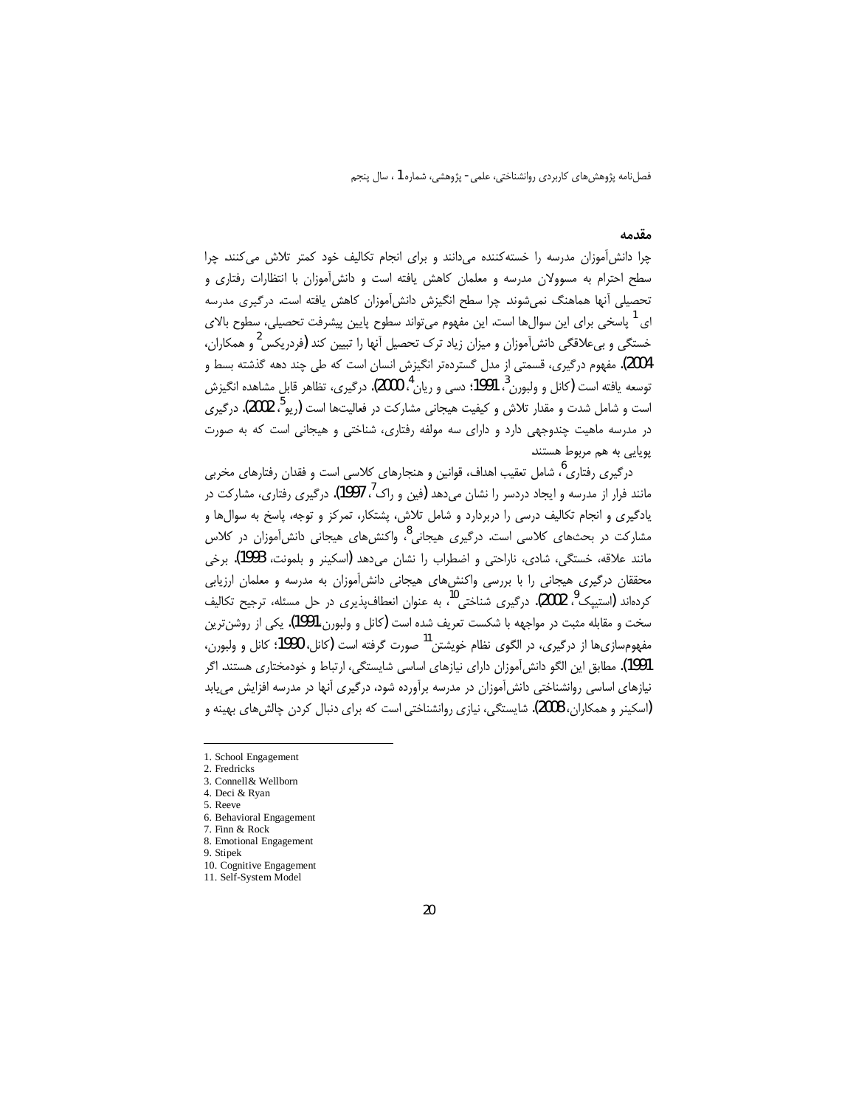### مقدمه

چرا دانش آموزان مدرسه را خسته کننده می دانند و برای انجام تکالیف خود کمتر تلاش می کنند. چرا سطح احترام به مسوولان مدرسه و معلمان کاهش یافته است و دانش آموزان با انتظارات رفتاری و تحصیلی آنها هماهنگ نمیشوند. چرا سطح انگیزش دانش|موزان کاهش یافته است. درگیری مدرسه ای <sup>1</sup> پاسخی برای این سوال۱ها است. این مفهوم می¤واند سطوح پایین پیشرفت تحصیلی، سطوح بالای خستگی و بی علاقگی دانش آموزان و میزان زیاد ترک تحصیل آنها را تبیین کند (فردریکس<sup>2</sup> و همکاران، 2004). مفهوم درگیری، قسمتی از مدل گستردهتر انگیزش انسان است که طی چند دهه گذشته بسط و توسعه يافته است (كانل و ولبورن ، 1991؛ دسی و ریان <sup>4</sup>، 2000). درگیری، تظاهر قابل مشاهده انگیزش است و شامل شدت و مقدار تلاش و کیفیت هیجانی مشارکت در فعالیتها است (ریو<sup>5</sup> ، 2002). درگیری در مدرسه ماهیت چندوجهی دارد و دارای سه مولفه رفتاری، شناختی و هیجانی است که به صورت پویایی به هم مربوط هستند.

درگیری رفتاری<sup>6</sup>، شامل تعقیب اهداف، قوانین و هنجارهای کلاسی است و فقدان رفتارهای مخربی مانند فرار از مدرسه و ایجاد دردسر را نشان میدهد (فین و راک<sup>)</sup>، 1997). درگیری رفتاری، مشارکت در یادگیری و انجام تکالیف درسی را دربردارد و شامل تلاش، پشتکار، تمرکز و توجه، پاسخ به سوال&ا و مشارکت در بحثهای کلاسی است. درگیری هیجانی<sup>8</sup>، واکنشهای هیجانی دانشآموزان در کلاس مانند علاقه، خستگی، شادی، ناراحتی و اضطراب را نشان میدهد (اسکینر و بلمونت، 1993). برخی محققان درگیری هیجانی را با بررسی واکنشهای هیجانی دانشآموزان به مدرسه و معلمان ارزیابی کردهاند (استیپک<sup>9</sup>، 2002). درگیری شناختی<sup>10</sup>، به عنوان انعطاف،پذیری در حل مسئله، ترجیح تکالیف سخت و مقابله مثبت در مواجهه با شکست تعریف شده است (کانل و ولبورن،1991). یکی از روشن ترین .<br>مفهومسازي ها از درگيري، در الگوي نظام خويشتن <sup>11</sup> صورت گرفته است (کانل، 1990؛ کانل و ولبورن، 1991). مطابق این الگو دانش[موزان دارای نیازهای اساسی شایستگی، ارتباط و خودمختاری هستند. اگر نیازهای اساسی روانشناختی دانش آموزان در مدرسه برآورده شود، درگیری آنها در مدرسه افزایش می یابد (اسکینر و همکاران، 2008). شایستگی، نیازی روانشناختی است که برای دنبال کردن چالش های بهینه و

<sup>1.</sup> School Engagement

<sup>2.</sup> Fredricks 3. Connell& Wellborn

<sup>4.</sup> Deci & Ryan

<sup>5.</sup> Reeve

<sup>6.</sup> Behavioral Engagement

<sup>7.</sup> Finn & Rock

<sup>8.</sup> Emotional Engagement

<sup>9.</sup> Stipek

<sup>10.</sup> Cognitive Engagement

<sup>11.</sup> Self-System Model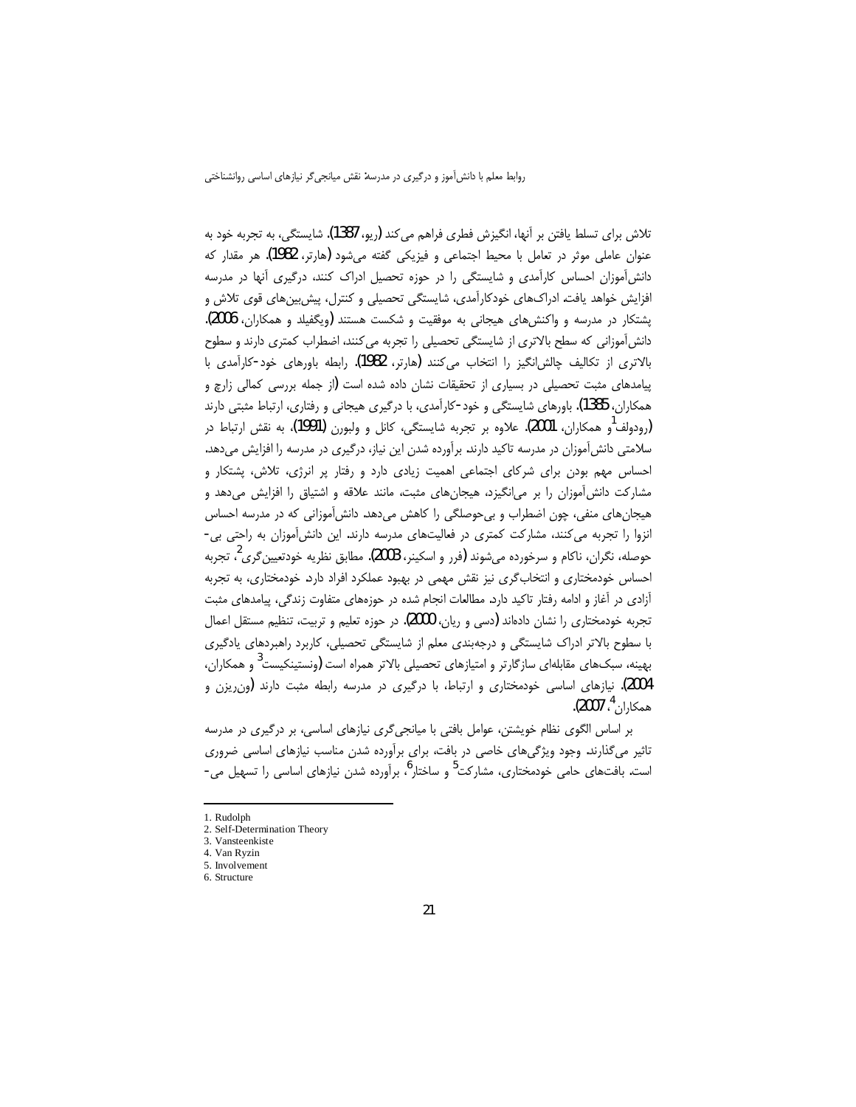تلاش براي تسلط يافتن بر آنها، انگيزش فطري فراهم مي كند (ريو، 1387). شايستگي، به تجربه خود به عنوان عاملی موثر در تعامل با محیط اجتماعی و فیزیکی گفته می شود (هارتر، 1982). هر مقدار که دانش آموزان احساس کارآمدی و شایستگی را در حوزه تحصیل ادراک کنند، درگیری آنها در مدرسه افزایش خواهد یافت. ادراکهای خودکارآمدی، شایستگی تحصیلی و کنترل، پیش بینهای قوی تلاش و یشتکار در مدرسه و واکنش های هیجانی به موفقیت و شکست هستند (ویگفیلد و همکاران، 2006). دانش[موزانی که سطح بالاتری از شایستگی تحصیلی را تجربه می کنند، اضطراب کمتری دارند و سطوح بالاترى از تكاليف چالش!نگيز را انتخاب مى كنند (هارتر، 1982). رابطه باورهاى خود-كارآمدى با پیامدهای مثبت تحصیلی در بسیاری از تحقیقات نشان داده شده است (از جمله بررسی کمالی زارچ و همکاران، 1385). باورهای شایستگی و خود-کارآمدی، با درگیری هیجانی و رفتاری، ارتباط مثبتی دارند (رودولف<sup>ا</sup>و همکاران، 2001). علاوه بر تجربه شایستگی، کانل و ولبورن (1991)، به نقش ارتباط در سلامتی دانش آموزان در مدرسه تاکید دارند. بر آورده شدن این نیاز، درگیری در مدرسه را افزایش می دهد. احساس مهم بودن برای شرکای اجتماعی اهمیت زیادی دارد و رفتار پر انرژی، تلاش، پشتکار و مشارکت دانش آموزان را بر می|نگیزد، هیجانهای مثبت، مانند علاقه و اشتیاق را افزایش میدهد و هیجانهای منفی، چون اضطراب و بی حوصلگی را کاهش میدهد. دانش آموزانی که در مدرسه احساس انزوا را تجربه می کنند، مشارکت کمتری در فعالیتهای مدرسه دارند. این دانش آموزان به راحتی بی-حوصله، نگران، ناکام و سرخورده می شوند (فرر و اسکینر، 2003). مطابق نظریه خودتعیین گری ُ، تجربه احساس خودمختاری و انتخاب گری نیز نقش مهمی در بهبود عملکرد افراد دارد. خودمختاری، به تجربه آزادی در آغاز و ادامه رفتار تاکید دارد. مطالعات انجام شده در حوزههای متفاوت زندگی، پیامدهای مثبت تجربه خودمختاری را نشان دادهاند (دسی و ریان، 2000). در حوزه تعلیم و تربیت، تنظیم مستقل اعمال با سطوح بالاتر ادراک شایستگی و درجهبندی معلم از شایستگی تحصیلی، کاربرد راهبردهای یادگیری بهینه، سبکهای مقابلهای سازگارتر و امتیازهای تحصیلی بالاتر همراه است (ونستینکیست<sup>3</sup> و همکاران، 2004). نیازهای اساسی خودمختاری و ارتباط، با درگیری در مدرسه رابطه مثبت دارند (ون یزن و همكاران<sup>4</sup>، 2007).

بر اساس الگوی نظام خویشتن، عوامل بافتی با میانجیگری نیازهای اساسی، بر درگیری در مدرسه تاثیر میگذارند. وجود ویژگیهای خاصی در بافت، برای برآورده شدن مناسب نیازهای اساسی ضروری است. بافتهای حامی خودمختاری، مشارکت<sup>5</sup> و ساختار<sup>0</sup>، برآورده شدن نیازهای اساسی را تسهیل می-

<sup>1.</sup> Rudolph

<sup>2.</sup> Self-Determination Theory

<sup>3.</sup> Vansteenkiste

<sup>4.</sup> Van Ryzin 5 Involvement

<sup>6.</sup> Structure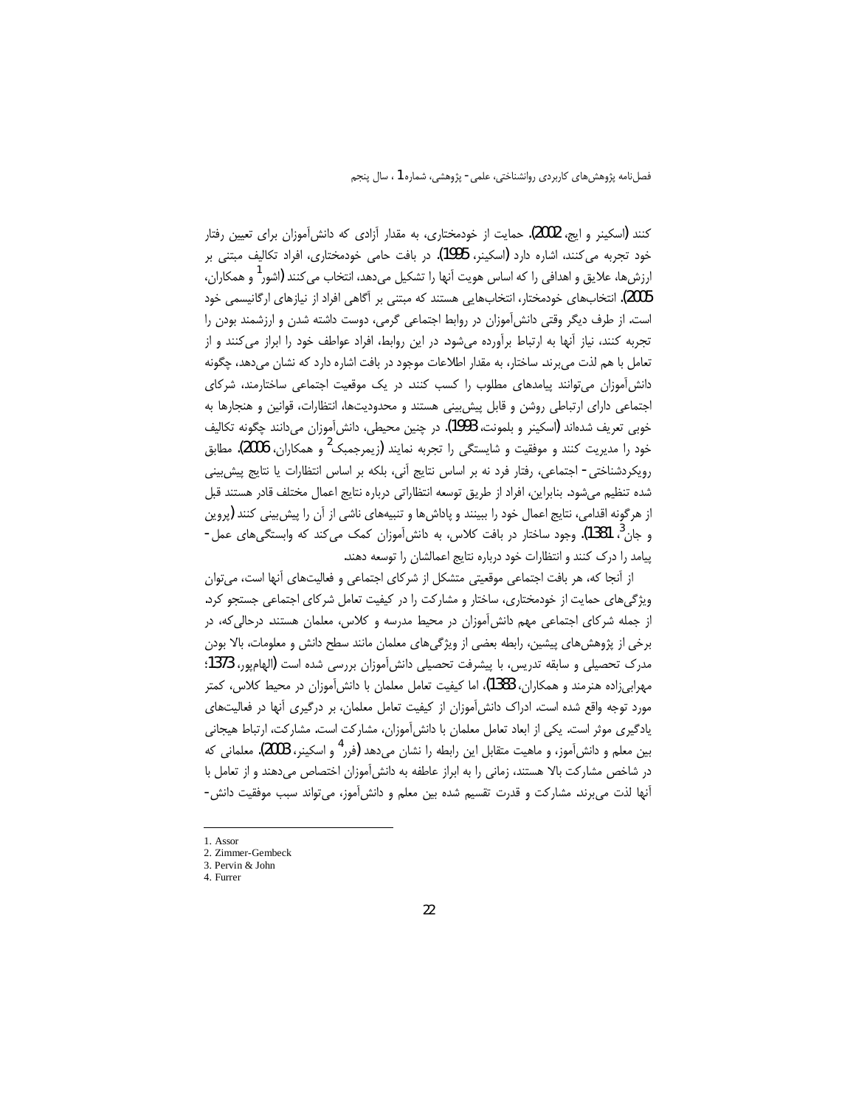کنند (اسکینر و ایج، 2002). حمایت از خودمختاری، به مقدار آزادی که دانش آموزان برای تعیین رفتار خود تجربه می کنند، اشاره دارد (اسکینر، 1995). در بافت حامی خودمختاری، افراد تکالیف مبتنی بر ارزشها، علایق و اهدافی را که اساس هویت آنها را تشکیل میدهد، انتخاب م*ی ک*نند **(**اشور<sup>1</sup> و همکاران، 2005). انتخابهای خودمختار، انتخابهایی هستند که مبتنی بر آگاهی افراد از نیازهای ارگانیسمی خود است. از طرف دیگر وقتی دانش آموزان در روابط اجتماعی گرمی، دوست داشته شدن و ارزشمند بودن را تجربه کنند، نیاز آنها به ارتباط برآورده می شود. در این روابط، افراد عواطف خود را ابراز می کنند و از تعامل با هم لذت می برند. ساختار، به مقدار اطلاعات موجود در بافت اشاره دارد که نشان می دهد، چگونه دانش آموزان می توانند پیامدهای مطلوب را کسب کنند. در یک موقعیت اجتماعی ساختارمند، شرکای اجتماعی دارای ارتباطی روشن و قابل پیش بینی هستند و محدودیتها، انتظارات، قوانین و هنجارها به خوبي تعريف شدهاند (اسكينر و بلمونت، 1993). در چنين محيطي، دانشآموزان ميدانند چگونه تكاليف خود را مدیریت کنند و موفقیت و شایستگی را تجربه نمایند (زیمرجمبک<sup>2</sup> و همکاران، **2006)**. مطابق رویکردشناختی- اجتماعی، رفتار فرد نه بر اساس نتایج آنی، بلکه بر اساس انتظارات یا نتایج پیش بینی شده تنظیم می شود. بنابراین، افراد از طریق توسعه انتظاراتی درباره نتایج اعمال مختلف قادر هستند قبل از هرگونه اقدامی، نتایج اعمال خود را ببینند و پاداشها و تنبیههای ناشی از آن را پیش بینی کنند (پروین و جان ؒ، 1381). وجود ساختار در بافت کلاس، به دانش[موزان کمک میکند که وابستگیهای عمل-پیامد را درک کنند و انتظارات خود درباره نتایج اعمالشان را توسعه دهند.

از آنجا که، هر بافت اجتماعی موقعیتی متشکل از شرکای اجتماعی و فعالیتهای آنها است، می توان ویژگیهای حمایت از خودمختاری، ساختار و مشارکت را در کیفیت تعامل شرکای اجتماعی جستجو کرد. از جمله شرکای اجتماعی مهم دانشآموزان در محیط مدرسه و کلاس، معلمان هستند. درحالی که، در برخی از پژوهش های پیشین، رابطه بعضی از ویژگی های معلمان مانند سطح دانش و معلومات، بالا بودن مدرک تحصیلی و سابقه تدریس، با پیشرفت تحصیلی دانش آموزان بررسی شده است (الهام یور، 1373؛ مهرابی;اده هنرمند و همکاران، 1383)، اما کیفیت تعامل معلمان با دانش آموزان در محیط کلاس، کمتر مورد توجه واقع شده است. ادراک دانش آموزان از کیفیت تعامل معلمان، بر درگیری آنها در فعالیتهای یادگیری موثر است. یکی از ابعاد تعامل معلمان با دانش[موزان، مشارکت است. مشارکت، ارتباط هیجانی بین معلم و دانش[موز، و ماهیت متقابل این رابطه را نشان میدهد (فرر<sup>4</sup> و اسکینر، 2003). معلمان<sub>ی</sub> که در شاخص مشاركت بالا هستند، زمانى را به ابراز عاطفه به دانش آموزان اختصاص مىدهند و از تعامل با آنها لذت مي برند. مشاركت و قدرت تقسيم شده بين معلم و دانش آموز، مي تواند سبب موفقيت دانش -

<sup>1.</sup> Assor

<sup>2.</sup> Zimmer-Gembeck 3. Pervin & John

<sup>4.</sup> Furrer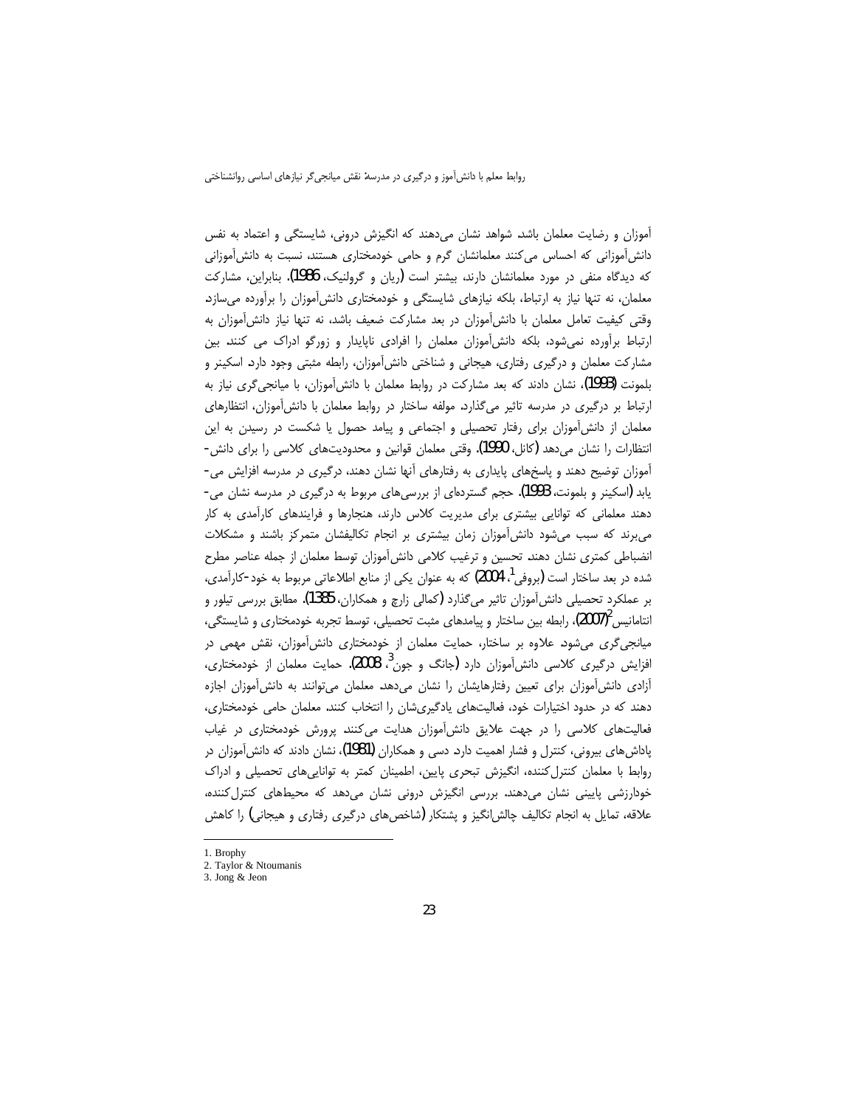آموزان و رضایت معلمان باشد. شواهد نشان میدهند که انگیزش درونی، شایستگی و اعتماد به نفس دانش آموزانی که احساس می کنند معلمانشان گرم و حامی خودمختاری هستند، نسبت به دانش آموزانی که دیدگاه منفی در مورد معلمانشان دارند، بیشتر است (ریان و گرولنیک، 1986). بنابراین، مشارکت معلمان، نه تنها نیاز به ارتباط، بلکه نیازهای شایستگی و خودمختاری دانش آموزان را برآورده می سازد. وقتی کیفیت تعامل معلمان با دانش آموزان در بعد مشارکت ضعیف باشد، نه تنها نیاز دانش آموزان به ارتباط برآورده نمی شود، بلکه دانش آموزان معلمان را افرادی ناپایدار و زورگو ادراک می کنند. بین مشارکت معلمان و درگیری رفتاری، هیجانی و شناختی دانش آموزان، رابطه مثبتی وجود دارد. اسکینر و بلمونت (1993)، نشان دادند که بعد مشارکت در روابط معلمان با دانشآموزان، با میانجیگری نیاز به ارتباط بر درگیری در مدرسه تاثیر میگذارد. مولفه ساختار در روابط معلمان با دانش آموزان، انتظارهای معلمان از دانشآموزان برای رفتار تحصیلی و اجتماعی و پیامد حصول یا شکست در رسیدن به این انتظارات را نشان میدهد (کانل، 1990). وقتی معلمان قوانین و محدودیتهای کلاسی را برای دانش-آموزان توضیح دهند و پاسخهای پایداری به رفتارهای آنها نشان دهند، درگیری در مدرسه افزایش می-یابد (اسکینر و بلمونت، 1993). حجم گستردهای از بررسی های مربوط به درگیری در مدرسه نشان می-دهند معلمانی که توانایی بیشتری برای مدیریت کلاس دارند، هنجارها و فرایندهای کارآمدی به کار می برند که سبب می شود دانش آموزان زمان بیشتری بر انجام تکالیفشان متمرکز باشند و مشکلات انضباطی کمتری نشان دهند. تحسین و ترغیب کلامی دانش آموزان توسط معلمان از جمله عناصر مطرح شده در بعد ساختار است (بروفی <sup>۱</sup>، 2004) که به عنوان یکی از منابع اطلاعاتی مربوط به خود-کارآمدی، بر عملكرد تحصيلي دانش[موزان تاثير ميگذارد (كمالي زارچ و همكاران، 1385). مطابق بررسي تيلور و انتامانیس $^2$ (2007)، رابطه بین ساختار و پیامدهای مثبت تحصیلی، توسط تجربه خودمختاری و شایستگی، میانجی گری می شود. علاوه بر ساختار، حمایت معلمان از خودمختاری دانش آموزان، نقش مهمی در افزایش درگیری کلاسی دانش آموزان دارد (جانگ و جون<sup>?</sup>، 2008). حمایت معلمان از خودمختاری، آزادی دانش آموزان برای تعیین رفتارهایشان را نشان میدهد. معلمان میتوانند به دانش آموزان اجازه دهند که در حدود اختیارات خود، فعالیتهای یادگیریشان را انتخاب کنند. معلمان حامی خودمختاری، فعالیتهای کلاسی را در جهت علایق دانش آموزان هدایت میکنند. پرورش خودمختاری در غیاب پاداشهای بیرونی، کنترل و فشار اهمیت دارد. دسی و همکاران (1981)، نشان دادند که دانش[موزان در روابط با معلمان کنترل کننده، انگیزش تبحری پایین، اطمینان کمتر به تواناییهای تحصیلی و ادراک خودارزشی پایینی نشان میدهند. بررسی انگیزش درونی نشان میدهد که محیطهای کنترل کننده، علاقه، تمایل به انجام تکالیف چالش|نگیز و پشتکار (شاخصهای درگیری رفتاری و هیجانی) را کاهش

<sup>1.</sup> Brophy

<sup>2.</sup> Taylor & Ntoumanis

<sup>3.</sup> Jong & Jeon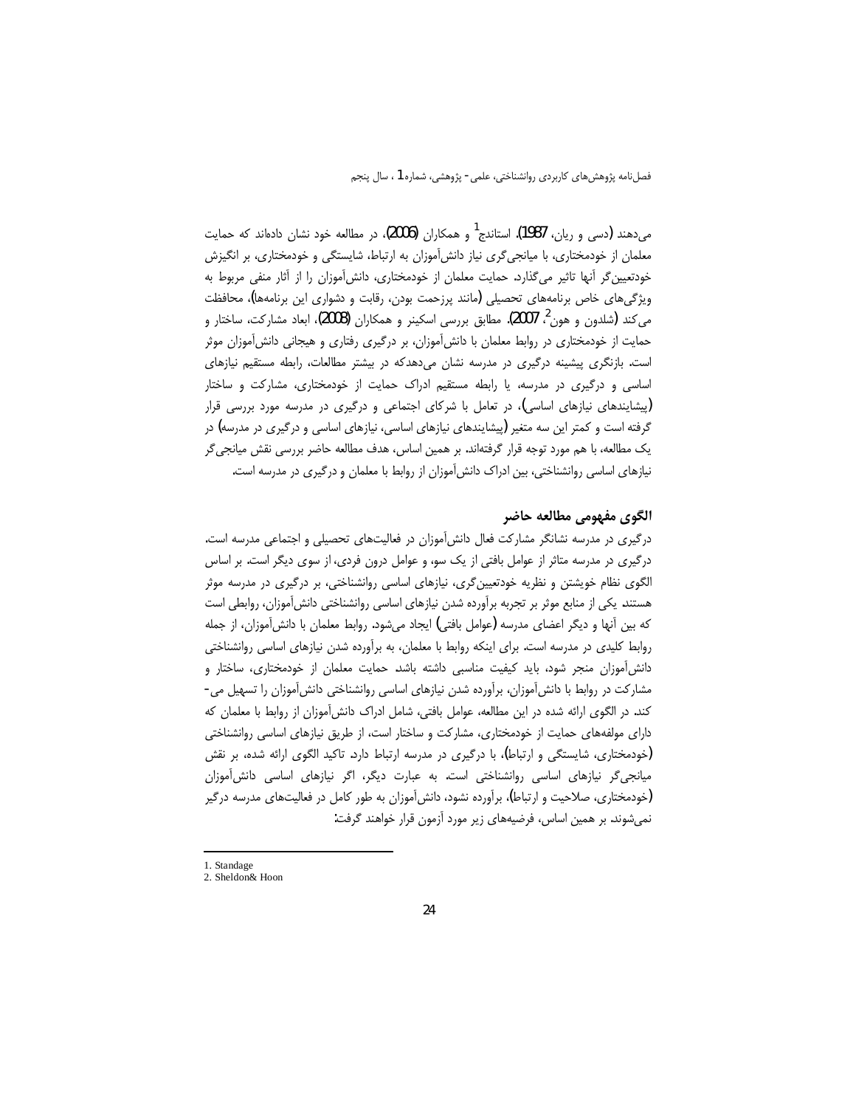می دهند (دسی و ریان، 1987). استاندج<sup>1</sup> و همکاران (2006)، در مطالعه خود نشان دادهاند که حمایت معلمان از خودمختاری، با میانجی گری نیاز دانش آموزان به ارتباط، شایستگی و خودمختاری، بر انگیزش خودتعیین گر آنها تاثیر میگذارد. حمایت معلمان از خودمختاری، دانشآموزان را از آثار منفی مربوط به ویژگی های خاص برنامههای تحصیلی (مانند پرزحمت بودن، رقابت و دشواری این برنامهها)، محافظت می کند (شلدون و هون<sup>2</sup>، 2007). مطابق بررسی اسکینر و همکاران (2008)، ابعاد مشارکت، ساختار و حمایت از خودمختاری در روابط معلمان با دانش آموزان، بر درگیری رفتاری و هیجانی دانش آموزان موثر است. بازنگری پیشینه درگیری در مدرسه نشان میدهدکه در بیشتر مطالعات، رابطه مستقیم نیازهای اساسی و درگیری در مدرسه، یا رابطه مستقیم ادراک حمایت از خودمختاری، مشارکت و ساختار (پیشایندهای نیازهای اساسی)، در تعامل با شرکای اجتماعی و درگیری در مدرسه مورد بررسی قرار گرفته است و کمتر این سه متغیر (پیشایندهای نیازهای اساسی، نیازهای اساسی و درگیری در مدرسه) در یک مطالعه، با هم مورد توجه قرار گرفتهاند. بر همین اساس، هدف مطالعه حاضر بررسی نقش میانجیگر نیازهای اساسی روانشناختی، بین ادراک دانش آموزان از روابط با معلمان و درگیری در مدرسه است.

## الگوي مفهومي مطالعه حاضر

درگیری در مدرسه نشانگر مشارکت فعال دانش آموزان در فعالیتهای تحصیلی و اجتماعی مدرسه است. درگیری در مدرسه متاثر از عوامل بافتی از یک سو، و عوامل درون فردی، از سوی دیگر است. بر اساس الگوی نظام خویشتن و نظریه خودتعیین گری، نیازهای اساسی روانشناختی، بر درگیری در مدرسه موثر هستند. یکی از منابع موثر بر تجربه برآورده شدن نیازهای اساسی روانشناختی دانشآموزان، روابطی است که بین أنها و دیگر اعضای مدرسه (عوامل بافتی) ایجاد میشود. روابط معلمان با دانش[موزان، از جمله روابط کلیدی در مدرسه است. برای اینکه روابط با معلمان، به برآورده شدن نیازهای اساسی روانشناختی دانش آموزان منجر شود، باید کیفیت مناسبی داشته باشد. حمایت معلمان از خودمختاری، ساختار و مشارکت در روابط با دانش آموزان، برآورده شدن نیازهای اساسی روانشناختی دانش آموزان را تسهیل می-کند. در الگوی ارائه شده در این مطالعه، عوامل بافتی، شامل ادراک دانش آموزان از روابط با معلمان که دارای مولفههای حمایت از خودمختاری، مشارکت و ساختار است، از طریق نیازهای اساسی روانشناختی (خودمختاری، شایستگی و ارتباط)، با درگیری در مدرسه ارتباط دارد. تاکید الگوی ارائه شده، بر نقش میانجی گر نیازهای اساسی روانشناختی است. به عبارت دیگر، اگر نیازهای اساسی دانش آموزان (خودمختاری، صلاحیت و ارتباط)، برآورده نشود، دانش آموزان به طور کامل در فعالیتهای مدرسه درگیر نمیشوند. بر همین اساس، فرضیههای زیر مورد آزمون قرار خواهند گرفت:

<sup>1.</sup> Standage

<sup>2.</sup> Sheldon& Hoon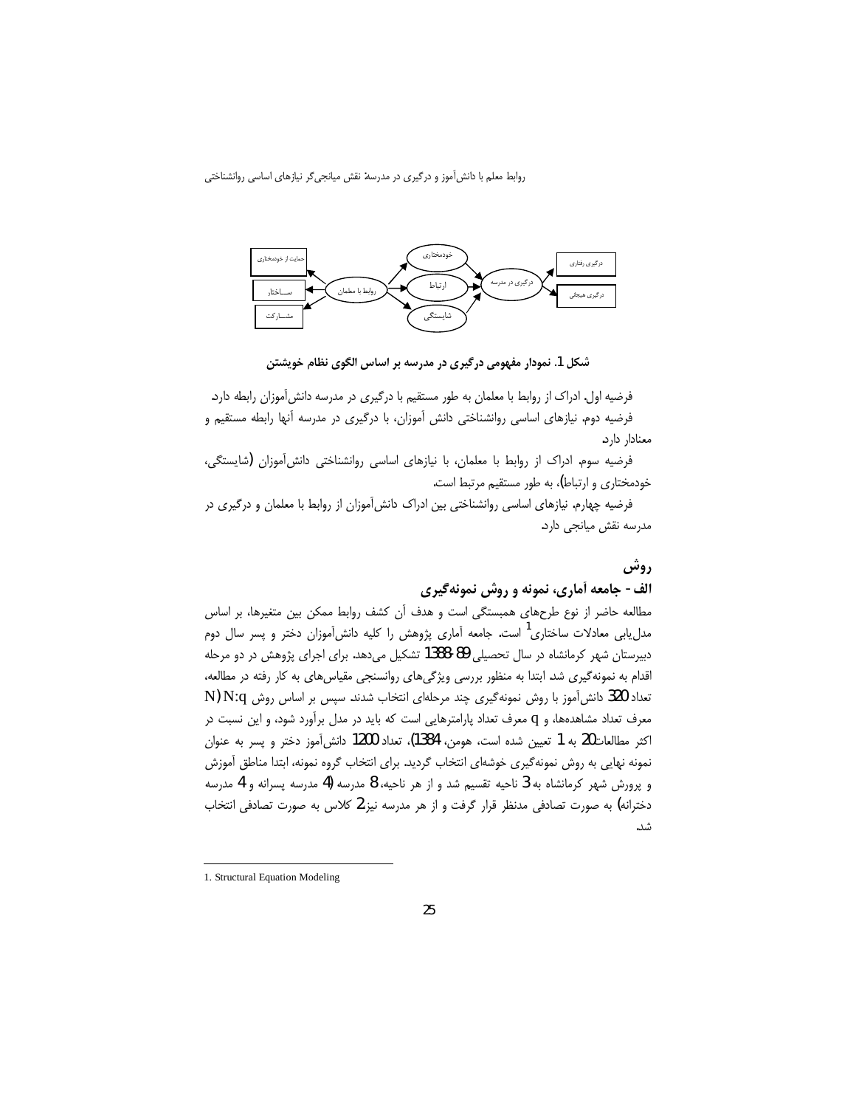

شکل 1. نمودار مفهومی درگیری در مدرسه بر اساس الگوی نظام خویشتن

فرضیه اول. ادراک از روابط با معلمان به طور مستقیم با درگیری در مدرسه دانشآموزان رابطه دارد. فرضیه دوم. نیازهای اساسی روانشناختی دانش آموزان، با درگیری در مدرسه آنها رابطه مستقیم و معنادار دارد.

فرضیه سوم. ادراک از روابط با معلمان، با نیازهای اساسی روانشناختی دانشآموزان (شایستگی، خودمختاری و ارتباط)، به طور مستقیم مرتبط است.

فرضیه چهارم. نیازهای اساسی روانشناختی بین ادراک دانش آموزان از روابط با معلمان و درگیری در مدرسه نقش میانجی دارد.

# روش

الف- جامعه آماري، نمونه و روش نمونهگیری

مطالعه حاضر از نوع طرحهای همبستگی است و هدف آن کشف روابط ممکن بین متغیرها، بر اساس مدل.یابی معادلات ساختاری<sup>۱</sup> است. جامعه آماری پژوهش را کلیه دانشآموزان دختر و پسر سال دوم دبیرستان شهر کرمانشاه در سال تحصیلی 89-1388 تشکیل میدهد. برای اجرای پژوهش در دو مرحله اقدام به نمونه گیری شد. ابتدا به منظور بررسی ویژگیهای روانسنجی مقیاسهای به کار رفته در مطالعه، تعداد 320 دانش آموز با روش نمونهگیری چند مرحلهای انتخاب شدند. سپس بر اساس روش N) N:q ( معرف تعداد مشاهدهها، و q معرف تعداد پارامترهایی است که باید در مدل برآورد شود، و این نسبت در اكثر مطالعات20 به 1 تعيين شده است، هومن، 1384)، تعداد 1200 دانش آموز دختر و پسر به عنوان نمونه نهایی به روش نمونهگیری خوشهای انتخاب گردید. برای انتخاب گروه نمونه، ابتدا مناطق آموزش و پرورش شهر کرمانشاه به 3 ناحیه تقسیم شد و از هر ناحیه، 8 مدرسه (4 مدرسه پسرانه و 4 مدرسه دخترانه) به صورت تصادفی مدنظر قرار گرفت و از هر مدرسه نیز،2 کلاس به صورت تصادفی انتخاب شد.

<sup>1.</sup> Structural Equation Modeling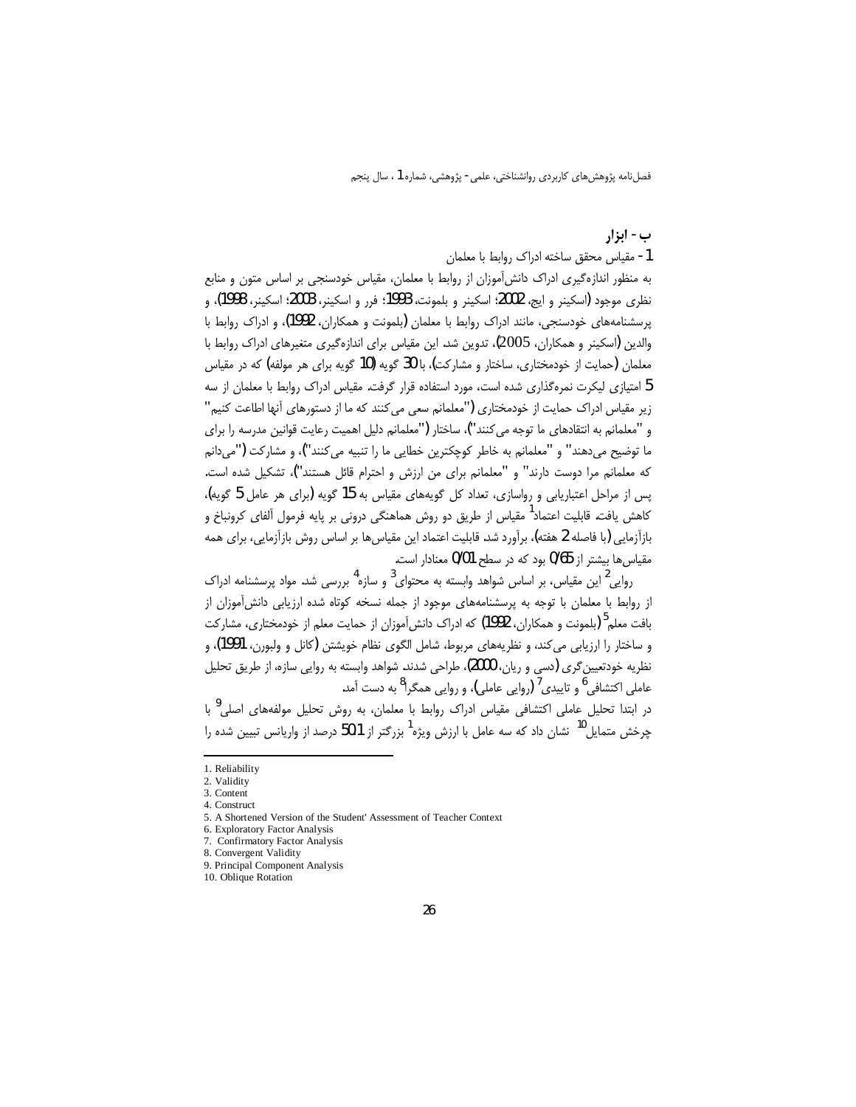ب- ابزار

1- مقياس محقق ساخته ادراك روابط با معلمان

به منظور اندازه گیری ادراک دانش آموزان از روابط با معلمان، مقیاس خودسنجی بر اساس متون و منابع نظري موجود (اسكينر و ايج، 2002؛ اسكينر و بلمونت، 1993؛ فرر و اسكينر، 2003؛ اسكينر، 1998)، و پرسشنامههای خودسنجی، مانند ادراک روابط با معلمان (بلمونت و همکاران، 1992)، و ادراک روابط با والدین (اسکینر و همکاران، 2005)، تدوین شد. این مقیاس برای اندازهگیری متغیرهای ادراک روابط با معلمان (حمایت از خودمختاری، ساختار و مشارکت)، با 30 گویه (10 گویه برای هر مولفه) که در مقیاس 5 امتیازی لیکرت نمرهگذاری شده است، مورد استفاده قرار گرفت. مقیاس ادراک روابط با معلمان از سه زیر مقیاس ادراک حمایت از خودمختاری ("معلمانم سعی می کنند که ما از دستورهای آنها اطاعت کنیم" و "معلمانم به انتقادهای ما توجه می کنند")، ساختار ("معلمانم دلیل اهمیت رعایت قوانین مدرسه را برای ما توضيح مي‹هند" و "معلمانم به خاطر كوچكترين خطايي ما را تنبيه ميكنند")، و مشاركت ("مي‹انم كه معلمانم مرا دوست دارند" و "معلمانم براي من ارزش و احترام قائل هستند")، تشكيل شده است. پس از مراحل اعتباریابی و رواسازی، تعداد کل گویههای مقیاس به 15 گویه (برای هر عامل 5 گویه)، کاهش یافت. قابلیت اعتماد<sup>1</sup> مقیاس از طریق دو روش هماهنگی درونی بر پایه فرمول آلفای کرونباخ و بازآزمایی (با فاصله 2 هفته)، برآورد شد. قابلیت اعتماد این مقیاس ها بر اساس روش بازآزمایی، برای همه مقياس ها بيشتر از 0/65 بود كه در سطح 0/01 معنادار است.

روایی <sup>2</sup> این مقیاس، بر اساس شواهد وابسته به محتوای <sup>3</sup> و سازه <sup>4</sup> بررسی شد. مواد پرسشنامه ادراک از روابط با معلمان با توجه به پرسشنامههای موجود از جمله نسخه کوتاه شده ارزیابی دانش آموزان از بافت معلم<sup>5</sup> (بلمونت و همکاران، 1992) که ادراک دانش[موزان از حمایت معلم از خودمختاری، مشارکت و ساختار را ارزیابی می کند، و نظریههای مربوط، شامل الگوی نظام خویشتن (کانل و ولبورن، 1991)، و نظريه خودتعيين گري (دسي و ريان، 2000)، طراحي شدند. شواهد وابسته به روايي سازه، از طريق تحليل عاملي اکتشافي<sup>6</sup> و تاييدي<sup>7</sup> (روايي عاملي)، و روايي همگرا<sup>8</sup> به دست آمد.

در ابتدا تحلیل عاملی اکتشافی مقیاس ادراک روابط با معلمان، به روش تحلیل مولفههای اصلی<sup>9</sup> با چرخش متمایل<sup>10</sup> نشان داد که سه عامل با ارزش ویژه<sup>1</sup> بزرگتر از 50،1 درصد از واریانس تبیین شده را

<sup>1.</sup> Reliability

<sup>2.</sup> Validity

<sup>3.</sup> Content 4. Construct

<sup>5.</sup> A Shortened Version of the Student' Assessment of Teacher Context

<sup>6.</sup> Exploratory Factor Analysis 7. Confirmatory Factor Analysis

<sup>8.</sup> Convergent Validity

<sup>9.</sup> Principal Component Analysis

<sup>10.</sup> Oblique Rotation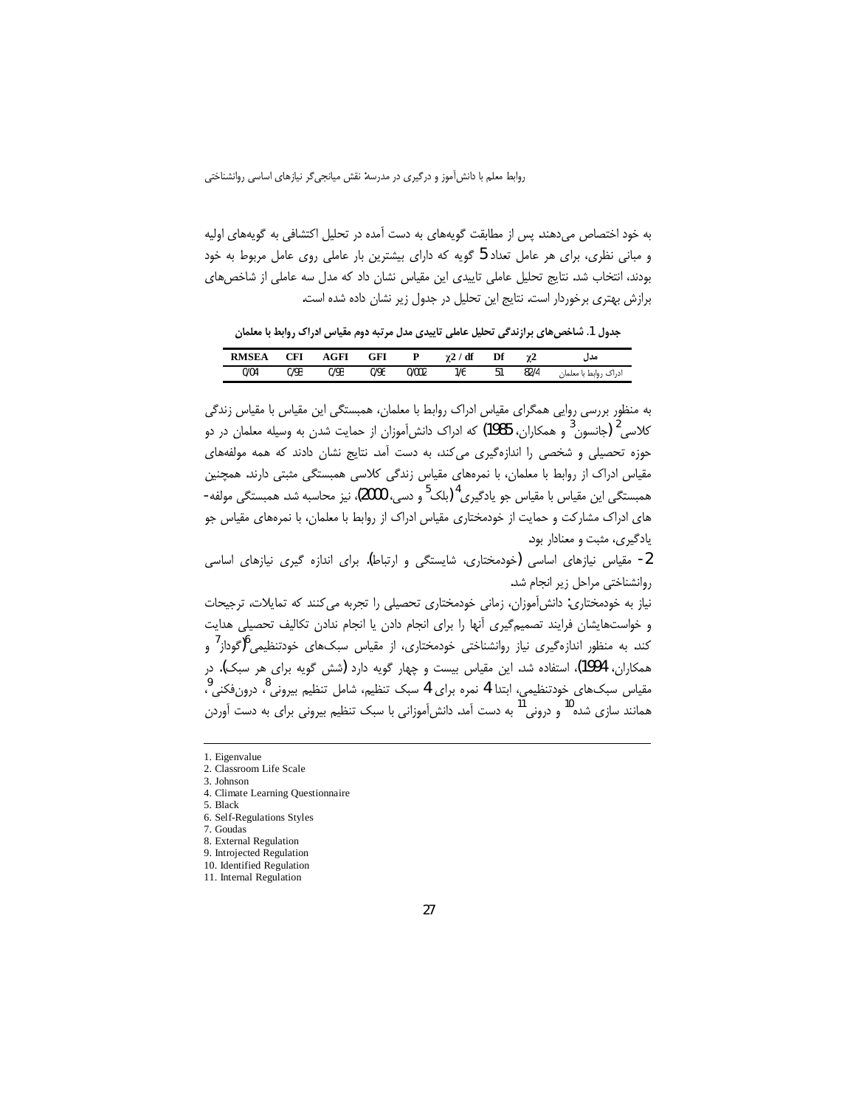به خود اختصاص می دهند. پس از مطابقت گویههای به دست آمده در تحلیل اکتشافی به گویههای اولیه و مبانی نظری، برای هر عامل تعداد 5 گویه که دارای بیشترین بار عاملی روی عامل مربوط به خود بودند، انتخاب شد. نتايج تحليل عاملي تاييدي اين مقياس نشان داد كه مدل سه عاملي از شاخصهاي برازش بهتری برخوردار است. نتایج این تحلیل در جدول زیر نشان داده شده است.

جدول 1. شاخصهای برازندگی تحلیل عاملی تاییدی مدل مرتبه دوم مقیاس ادراک روابط با معلمان

| <b>RMSEA</b> | CFI  | AGFI | $_{\mathrm{GFI}}$ |       | / df<br>γ2 | Df | χ2   | مدر                   |
|--------------|------|------|-------------------|-------|------------|----|------|-----------------------|
| 0/04         | 0/93 | 0/93 | 0/96              | 0/002 | 1/6        | 51 | 82/4 | ادراک روابط با معلماز |

به منظور بررسی روایی همگرای مقیاس ادراک روابط با معلمان، همبستگی این مقیاس با مقیاس زندگی کلاسی<sup>2</sup> (جانسون<sup>3</sup> و همکاران، 1985) که ادراک دانش[موزان از حمایت شدن به وسیله معلمان در دو حوزه تحصیلی و شخصی را اندازهگیری میکند، به دست آمد. نتایج نشان دادند که همه مولفههای مقیاس ادراک از روابط با معلمان، با نمرههای مقیاس زندگی کلاسی همبستگی مثبتی دارند. همچنین همبستگی این مقیاس با مقیاس جو یادگیری<sup>4</sup> (بلک<sup>5</sup> و دسی، 2000)، نیز محاسبه شد. همبستگی مولفه-های ادراک مشارکت و حمایت از خودمختاری مقیاس ادراک از روابط با معلمان، با نمرههای مقیاس جو یادگیری، مثبت و معنادار بود.

2- مقیاس نیازهای اساسی (خودمختاری، شایستگی و ارتباط). برای اندازه گیری نیازهای اساسی روانشناختی مراحل زیر انجام شد.

نیاز به خودمختاری: دانش آموزان، زمانی خودمختاری تحصیلی را تجربه می کنند که تمایلات، ترجیحات و خواستهايشان فرايند تصميم گيرى أنها را براى انجام دادن يا انجام ندادن تكاليف تحصيلى هدايت کند. به منظور اندازهگیری نیاز روانشناختی خودمختاری، از مقیاس سبکهای خودتنظیمی<sup>6</sup>(گوداز<sup>7</sup> و همکاران، 1994)، استفاده شد. این مقیاس بیست و چهار گویه دارد (شش گویه برای هر سبک). در مقياس سبکھاى خودتنظيمى، ابتدا 4 نمره براى 4 سبک تنظيم، شامل تنظيم بيرونى<sup>8</sup>، درونِفكنى<sup>9</sup>، همانند سازی شده<sup>10</sup> و درونی<sup>11</sup> به دست آمد. دانش[موزانی با سبک تنظیم بیرونی برای به دست آوردن

 $\overline{a}$ 

<sup>1.</sup> Eigenvalue

<sup>2.</sup> Classroom Life Scale

<sup>3.</sup> Johnson

<sup>4.</sup> Climate Learning Questionnaire

<sup>5.</sup> Black

<sup>6.</sup> Self-Regulations Styles

<sup>7.</sup> Goudas

<sup>8.</sup> External Regulation 9. Introjected Regulation

<sup>10.</sup> Identified Regulation

<sup>11.</sup> Internal Regulation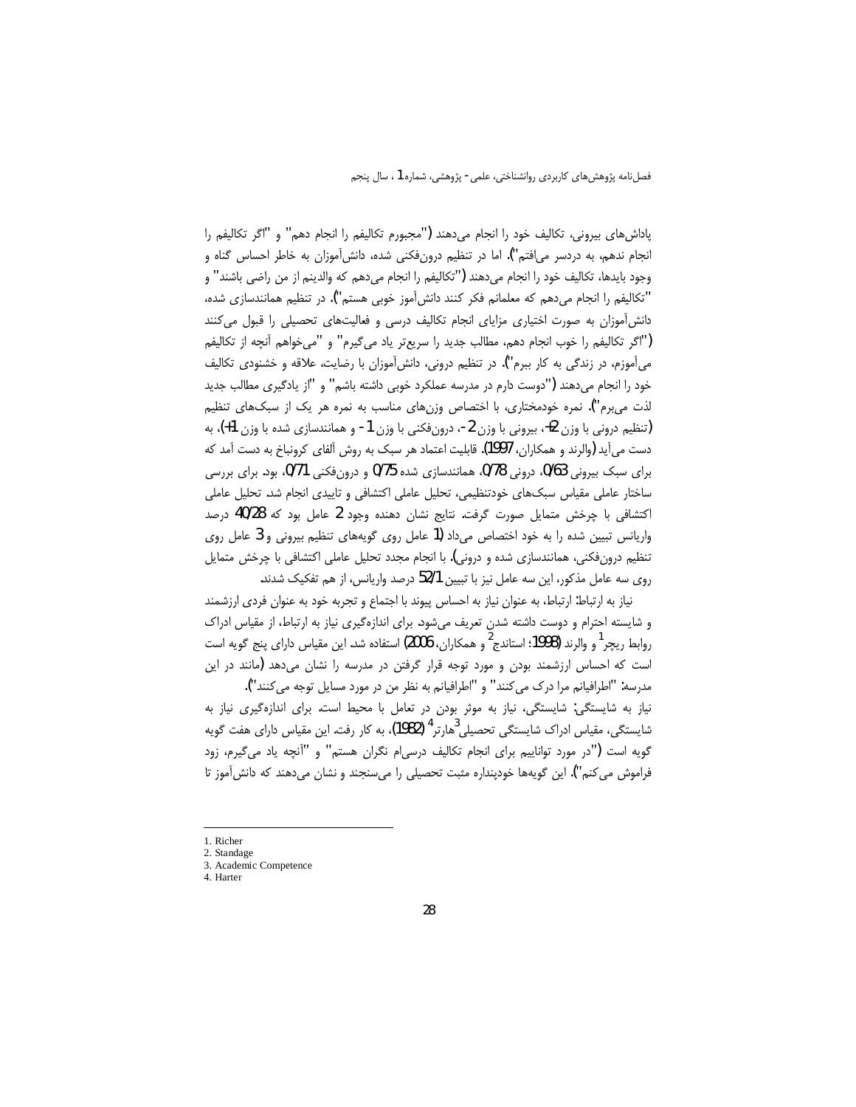پاداشهای بیرونی، تکالیف خود را انجام میدهند ("مجبورم تکالیفم را انجام دهم" و "اگر تکالیفم را انجام ندهم، به دردسر می|فتم"). اما در تنظیم درونِ فکنی شده، دانش آموزان به خاطر احساس گناه و وجود بايدها، تكاليف خود را انجام مي دهند ("تكاليفم را انجام مي دهم كه والدينم از من راضي باشند" و "تكاليفم را انجام مى دهم كه معلمانم فكر كنند دانش آموز خوبى هستم"). در تنظيم همانندسازى شده، دانش آموزان به صورت اختیاری مزایای انجام تکالیف درسی و فعالیتهای تحصیلی را قبول می کنند ("اگر تكاليفم را خوب انجام دهم، مطالب جديد را سريعتر ياد مي گيرم" و "مي خواهم آنچه از تكاليفم می آموزم، در زندگی به کار ببرم"). در تنظیم درونی، دانش آموزان با رضایت، علاقه و خشنودی تکالیف خود را انجام میدهند ("دوست دارم در مدرسه عملکرد خوبی داشته باشم" و "از یادگیری مطالب جدید لذت میبرم"). نمره خودمختاری، با اختصاص وزنهای مناسب به نمره هر یک از سبکهای تنظیم (تنظیم درونی با وزن 2+، بیرونی با وزن 2-، درونفکنی با وزن 1- و همانندسازی شده با وزن 1+)، به دست می آید (والرند و همکاران، 1997). قابلیت اعتماد هر سبک به روش آلفای کرونباخ به دست آمد که برای سبک بیرونی 0/63، درونی 0/78 همانندسازی شده 0/75 و درونفکنی 0/71، بود. برای بررسی ساختار عاملی مقیاس سبکھای خودتنظیمی، تحلیل عاملی اکتشافی و تاییدی انجام شد. تحلیل عاملی اکتشافی با چرخش متمایل صورت گرفت. نتایج نشان دهنده وجود 2 عامل بود که 40/28 درصد واریانس تبیین شده را به خود اختصاص میداد (1 عامل روی گویههای تنظیم بیرونی و 3 عامل روی تنظیم درونفکنی، همانندسازی شده و درونی). با انجام مجدد تحلیل عاملی اکتشافی با چرخش متمایل روی سه عامل مذکور، این سه عامل نیز با تبیین 52/1 درصد واریانس، از هم تفکیک شدند.

نیاز به ارتباط: ارتباط، به عنوان نیاز به احساس پیوند با اجتماع و تجربه خود به عنوان فردی ارزشمند و شایسته احترام و دوست داشته شدن تعریف میشود. برای اندازهگیری نیاز به ارتباط، از مقیاس ادراک روابط ريچر<sup>1</sup> و والرند (1998؛ استاندج<sup>2</sup> و همكاران، 2006) استفاده شد. اين مقياس داراي پنج گويه است است که احساس ارزشمند بودن و مورد توجه قرار گرفتن در مدرسه را نشان میدهد (مانند در این مدرسه: "اطرافيانم مرا درک مي کنند" و "اطرافيانم به نظر من در مورد مسايل توجه مي کنند").

نیاز به شایستگی: شایستگی، نیاز به موثر بودن در تعامل با محیط است. برای اندازهگیری نیاز به شایستگی، مقیاس ادراک شایستگی تحصیلی $^{3}$ هارتر<sup>4</sup> (1982)، به کار رفت. این مقیاس دارای هفت گویه گویه است ("در مورد تواناییم برای انجام تکالیف درسی|م نگران هستم" و "آنچه یاد می گیرم، زود فراموش می کنم"). این گویهها خودپنداره مثبت تحصیلی را میسنجند و نشان میدهند که دانش آموز تا

<sup>1.</sup> Richer

<sup>2.</sup> Standage 3. Academic Competence

<sup>4.</sup> Harter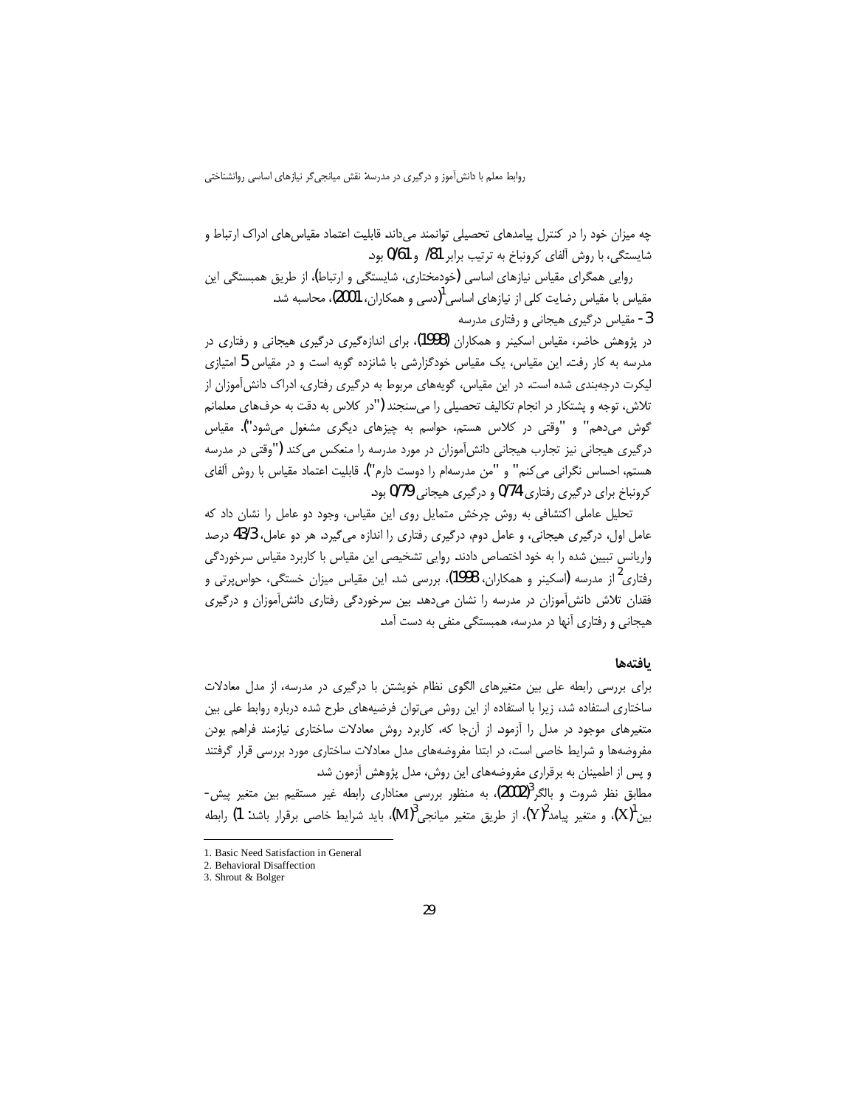چه میزان خود را در کنترل پیامدهای تحصیلی توانمند می داند. قابلیت اعتماد مقیاس های ادراک ارتباط و شایستگی، با روش آلفای کرونیاخ به ترتیب برابر 81/ و 0/61 بود.

روایی همگرای مقیاس نیازهای اساسی (خودمختاری، شایستگی و ارتباط)، از طریق همبستگی این مقیاس با مقیاس رضایت کلی از نیازهای اساسی <sup>1</sup>(دسی و همکاران**، 2001)،** محاسبه شد. 3- مقیاس درگیری هیجانی و رفتاری مدرسه

در پژوهش حاضر، مقیاس اسکینر و همکاران (1998)، برای اندازهگیری درگیری هیجانی و رفتاری در مدرسه به کار رفت. این مقیاس، یک مقیاس خودگزارشی با شانزده گویه است و در مقیاس 5 امتیازی لیکرت درجهبندی شده است. در این مقیاس، گویههای مربوط به درگیری رفتاری، ادراک دانش آموزان از تلاش، توجه و پشتکار در انجام تکالیف تحصیلی را میسنجند ("در کلاس به دقت به حرفهای معلمانم گوش میدهم" و "وقتی در کلاس هستم، حواسم به چیزهای دیگری مشغول میشود"). مقیاس درگیری هیجانی نیز تجارب هیجانی دانش آموزان در مورد مدرسه را منعکس می کند ("وقتی در مدرسه هستم، احساس نگرانی میکنم" و "من مدرسهام را دوست دارم"). قابلیت اعتماد مقیاس با روش آلفای کرونباخ برای درگیری رفتاری 0/74 و درگیری هیجانی 0/79 بود.

تحلیل عاملی اکتشافی به روش چرخش متمایل روی این مقیاس، وجود دو عامل را نشان داد که عامل اول، درگیری هیجانی، و عامل دوم، درگیری رفتاری را اندازه میگیرد. هر دو عامل، 43/3 درصد واریانس تبیین شده را به خود اختصاص دادند. روایی تشخیصی این مقیاس با کاربرد مقیاس سرخوردگی رفتاری<sup>2</sup> از مدرسه (اسکینر و همکاران، 1998)، بررسی شد. این مقیاس میزان خستگی، حواسپرتی و فقدان تلاش دانش آموزان در مدرسه را نشان می دهد. بین سرخوردگی رفتاری دانش آموزان و درگیری هیجانی و رفتاری آنها در مدرسه، همبستگی منفی به دست آمد.

### بافتهها

برای بررسی رابطه علی بین متغیرهای الگوی نظام خویشتن با درگیری در مدرسه، از مدل معادلات ساختاری استفاده شد، زیرا با استفاده از این روش میتوان فرضیههای طرح شده درباره روابط علی بین متغیرهای موجود در مدل را آزمود. از آنجا که، کاربرد روش معادلات ساختاری نیازمند فراهم بودن مفروضهها و شرایط خاصی است، در ابتدا مفروضههای مدل معادلات ساختاری مورد بررسی قرار گرفتند و پس از اطمینان به برقراری مفروضههای این روش، مدل پژوهش آزمون شد.

مطابق نظر شروت و بالگر<sup>3</sup>(2002)، به منظور بررسی معناداری رابطه غیر مستقیم بین متغیر پیش-بین  $({\rm X})$ )، و متغیر پیامد $({\rm Y})^2$ )، از طریق متغیر میانجی $({\rm M})^3$ )، باید شرایط خاصی برقرار باشد: 1) رابطه

<sup>1.</sup> Basic Need Satisfaction in General

<sup>2.</sup> Behavioral Disaffection

<sup>3.</sup> Shrout & Bolger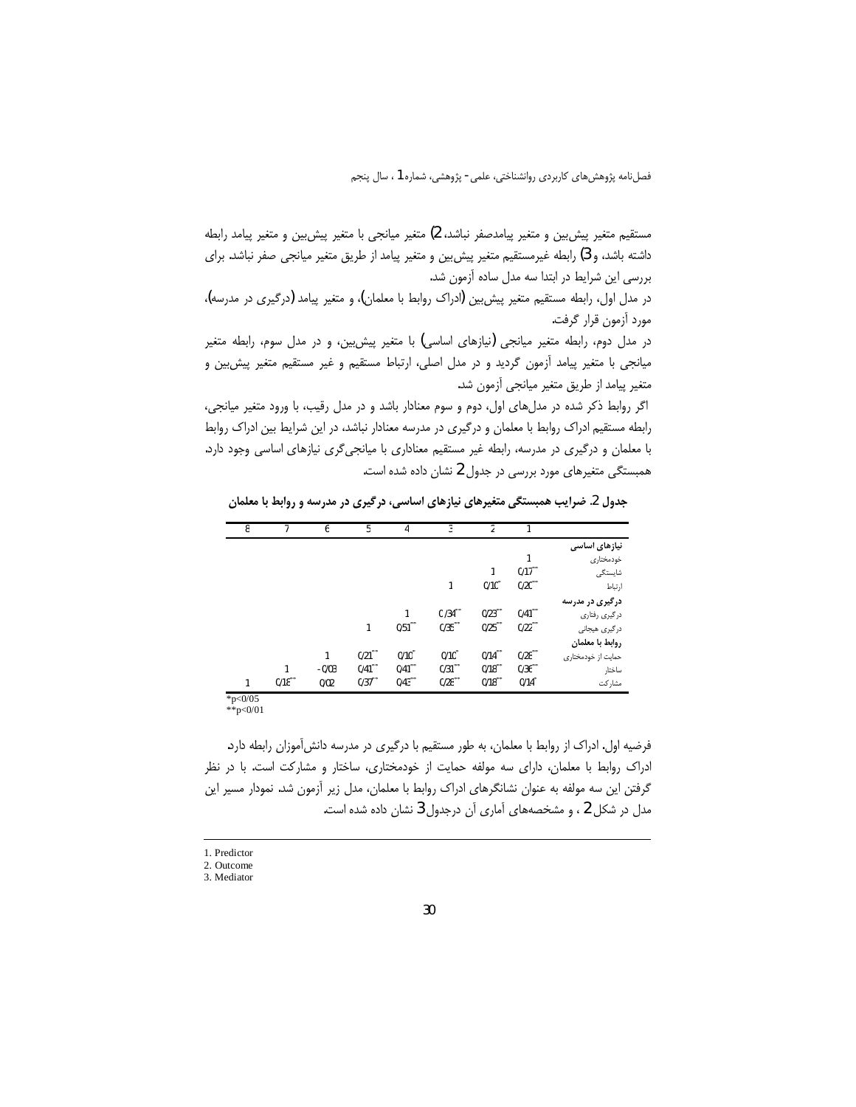مستقيم متغير پيش بين و متغير پيامدصفر نباشد، 2) متغير ميانجي با متغير پيش بين و متغير پيامد رابطه داشته باشد، و 3) رابطه غیرمستقیم متغیر پیش بین و متغیر پیامد از طریق متغیر میانجی صفر نباشد. برای بررسی این شرایط در ابتدا سه مدل ساده آزمون شد.

در مدل اول، رابطه مستقیم متغیر پیش بین (ادراک روابط با معلمان)، و متغیر پیامد (درگیری در مدرسه)، مورد أزمون قرار گرفت.

در مدل دوم، رابطه متغیر میانجی (نیازهای اساسی) با متغیر پیش بین، و در مدل سوم، رابطه متغیر میانجی با متغیر پیامد آزمون گردید و در مدل اصلی، ارتباط مستقیم و غیر مستقیم متغیر پیش بین و متغیر پیامد از طریق متغیر میانجی آزمون شد.

اگر روابط ذکر شده در مدلهای اول، دوم و سوم معنادار باشد و در مدل رقیب، با ورود متغیر میانجی، رابطه مستقیم ادراک روابط با معلمان و درگیری در مدرسه معنادار نباشد، در این شرایط بین ادراک روابط با معلمان و درگیری در مدرسه، رابطه غیر مستقیم معناداری با میانجیگری نیازهای اساسی وجود دارد. همبستگی متغیرهای مورد بررسی در جدول 2 نشان داده شده است.

جدول 2. ضرایب همبستگی متغیرهای نیازهای اساسی، درگیری در مدرسه و روابط با معلمان

| 8            |                      | 6       | 5         | 4                    | 3          | 2         |                       |                    |
|--------------|----------------------|---------|-----------|----------------------|------------|-----------|-----------------------|--------------------|
|              |                      |         |           |                      |            |           |                       | نیازهای اساسی      |
|              |                      |         |           |                      |            |           |                       | خودمختاري          |
|              |                      |         |           |                      |            |           | $0/17$ <sup>**</sup>  | شايستگى            |
|              |                      |         |           |                      | 1          | 0/10      | $0/20***$             | ارتباط             |
|              |                      |         |           |                      |            |           |                       | درگیری در مدرسه    |
|              |                      |         |           | 1                    | $0/34***$  | 0/23      | $0/41$ <sup>ww</sup>  | درگیری رفتاری      |
|              |                      |         | 1         | $0/51$ **            | $0/35***$  | $0/25$ ** | 0/22                  | درگیری هیجانی      |
|              |                      |         |           |                      |            |           |                       | روابط با معلمان    |
|              |                      | 1       | $0/21***$ | $0/10$ <sup>*</sup>  | $0/10^{*}$ | $0/14***$ | $0/28$ <sup>378</sup> | حمایت از خودمختاری |
|              |                      | $-0/03$ | $0/41***$ | $0/41$ <sup>**</sup> | $0/31$ **  | $0/18$ ** | 0/36                  | ساختار             |
| 1            | $0/18$ <sup>**</sup> | 0/02    | $0/37***$ | 0/43                 | $0/28$ **  | $0/18***$ | 0/14                  | مشاركت             |
| $*_{n-0/05}$ |                      |         |           |                      |            |           |                       |                    |

 $*_{p<0/01}$ 

فرضیه اول. ادراک از روابط با معلمان، به طور مستقیم با درگیری در مدرسه دانش آموزان رابطه دارد. ادراک روابط با معلمان، دارای سه مولفه حمایت از خودمختاری، ساختار و مشارکت است. با در نظر گرفتن این سه مولفه به عنوان نشانگرهای ادراک روابط با معلمان، مدل زیر آزمون شد. نمودار مسیر این مدل در شکل 2 ، و مشخصههای آماری آن درجدول 3 نشان داده شده است.

<sup>1.</sup> Predictor

<sup>2.</sup> Outcome

 $3.$  Mediator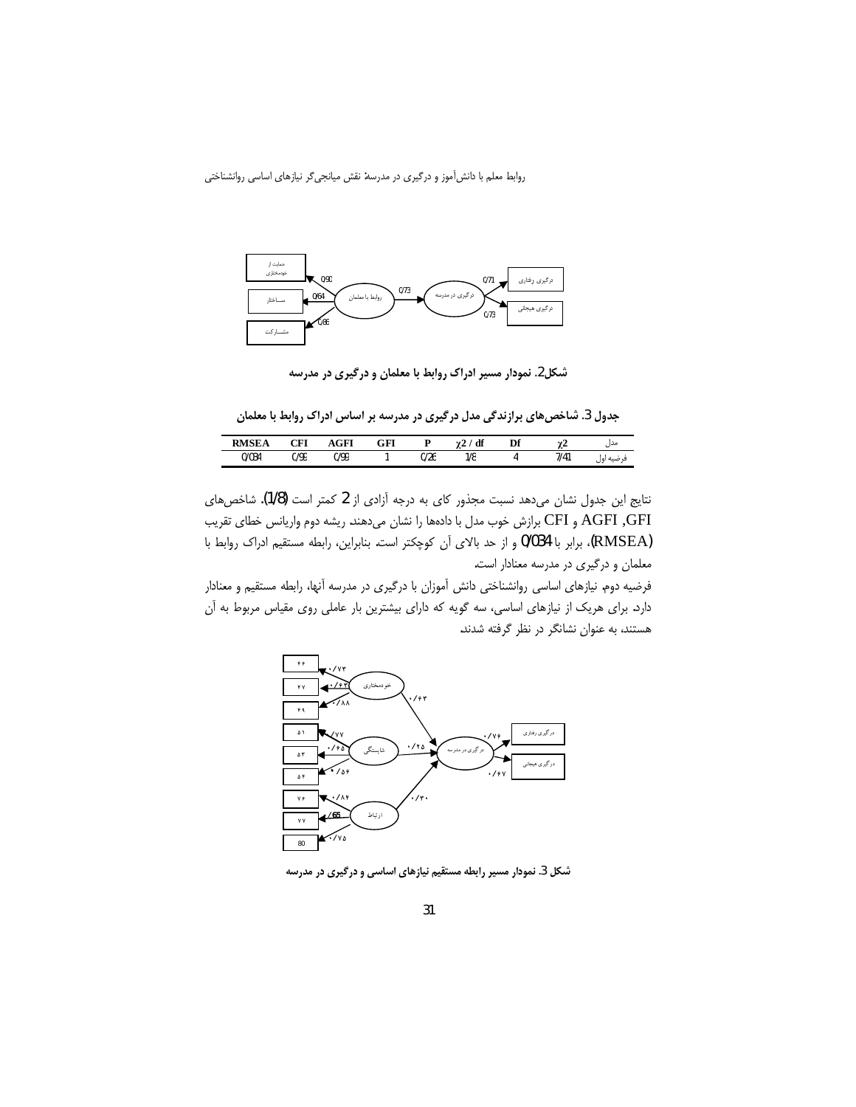

 **Ä|»{É̳{Á½Z¼¸ »Z]]YÁY{YÌ»Y{¼¿ .2¶°**

جدول 3. شاخصهای برازندگی مدل درگیری در مدرسه بر اساس ادراک روابط با معلمان

| <b>DMSE</b> | OET           | ACF  | GFI<br>$\sim$ $\sim$ |      | df  | Df | n.   | مدں                          |
|-------------|---------------|------|----------------------|------|-----|----|------|------------------------------|
| 0/034       | חמור<br>V/ 77 | 0/99 |                      | 0/26 | 1/8 |    | 7/41 | اول<br>صىه<br>$\overline{a}$ |

نتايج اين جدول نشان مىدهد نسبت مجذور كاى به درجه آزادى از 2 كمتر است (1/8). شاخصهاى AGFI ,GFI و CFI برازش خوب مدل با دادهها را نشان مىدهند. ريشه دوم واريانس خطاي تقريب RMSEA)، برابر با 0/034 و از حد بالای آن کوچکتر است. بنابراین، رابطه مستقیم ادراک روابط با معلمان و درگیری در مدرسه معنادار است.

فرضیه دوم. نیازهای اساسی روانشناختی دانش آموزان با درگیری در مدرسه آنها، رابطه مستقیم و معنادار دارد. برای هریک از نیازهای اساسی، سه گویه که دارای بیشترین بار عاملی روی مقیاس مربوط به آن هستند، به عنوان نشانگر در نظر گرفته شدند.



.<br>شکل 3. نمودار مسیر رابطه مستقیم نیازهای اساسی و درگیری در مدرسه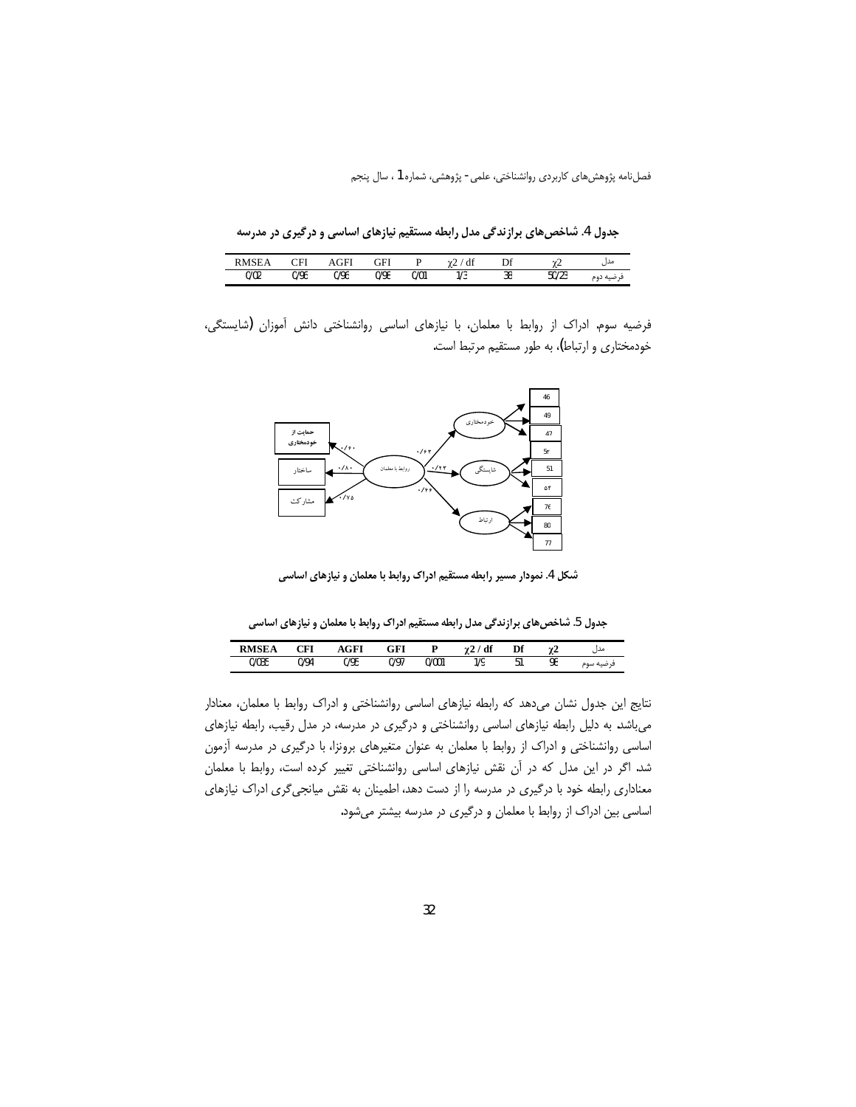جدول 4. شاخص های برازندگی مدل رابطه مستقیم نیازهای اساسی و درگیری در مدرسه

| <b>DAIGE</b><br>Δ | וסי<br>◡▴+ | ŦП   | GFI  |      | ' di<br>$\sim$ | Df | $\overline{ }$<br>$\sim$ | مدا       |
|-------------------|------------|------|------|------|----------------|----|--------------------------|-----------|
| 0/02              | 0/96       | 0/96 | 0/98 | 0/01 | 1/3            | 38 | $F^{\prime}$<br>50/Z3    | فرصيه دوم |

فرضیه سوم. ادراک از روابط با معلمان، با نیازهای اساسی روانشناختی دانش آموزان (شایستگی، خودمختاری و ارتباط)، به طور مستقیم مرتبط است.



شکل 4. نمودار مسیر رابطه مستقیم ادراک روابط با معلمان و نیازهای اساسی

جدول 5. شاخص های برازندگی مدل رابطه مستقیم ادراک روابط با معلمان و نیازهای اساسی

| DMCE<br>ĿА | $\cap$ FI | GFI  | GFI  |       | df<br>---<br>$\sim$ | Пf<br>IJ1 | mø<br>. .<br>$\sim$ | مدا                                   |
|------------|-----------|------|------|-------|---------------------|-----------|---------------------|---------------------------------------|
| 0/035      | 0/94      | 0/95 | 0/97 | 0/001 | 70                  | ◡         | 98                  | ف صنه سوم<br>$\overline{\phantom{a}}$ |

نتایج این جدول نشان میدهد که رابطه نیازهای اساسی روانشناختی و ادراک روابط با معلمان، معنادار می باشد. به دلیل رابطه نیازهای اساسی روانشناختی و درگیری در مدرسه، در مدل رقیب، رابطه نیازهای اساسی روانشناختی و ادراک از روابط با معلمان به عنوان متغیرهای برونزا، با درگیری در مدرسه آزمون شد. اگر در این مدل که در آن نقش نیازهای اساسی روانشناختی تغییر کرده است، روابط با معلمان معناداری رابطه خود با درگیری در مدرسه را از دست دهد، اطمینان به نقش میانجی گری ادراک نیازهای اساسی بین ادراک از روابط با معلمان و درگیری در مدرسه بیشتر میشود.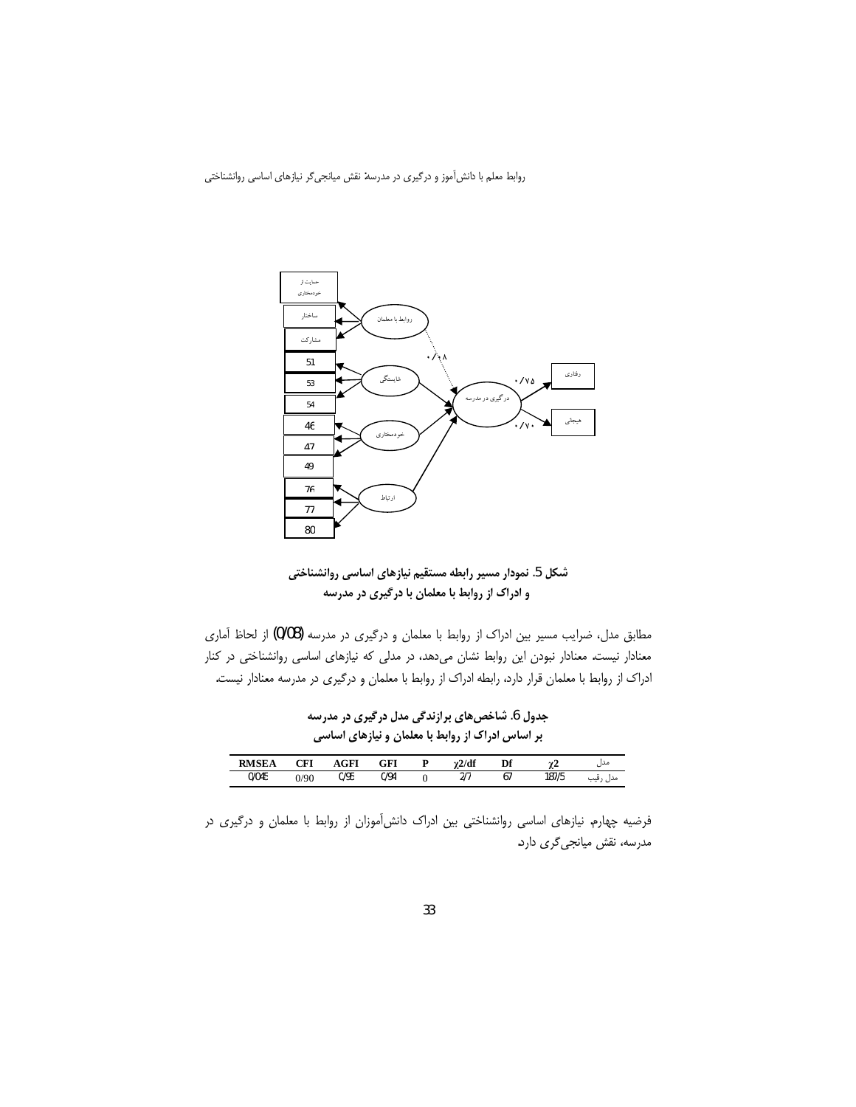

شکل 5. نمودار مسیر رابطه مستقیم نیازهای اساسی روانشناختی و ادراک از روابط با معلمان با درگیری در مدرسه

مطابق مدل، ضرایب مسیر بین ادراک از روابط با معلمان و درگیری در مدرسه (0/08) از لحاظ آماری معنادار نیست. معنادار نبودن این روابط نشان میدهد، در مدلی که نیازهای اساسی روانشناختی در کنار ادراک از روابط با معلمان قرار دارد، رابطه ادراک از روابط با معلمان و درگیری در مدرسه معنادار نیست.

جدول 6. شاخصهای برازندگی مدل درگیری در مدرسه بر اساس ادراک از روابط با معلمان و نیازهای اساسی

| <b>RMSE</b><br>iЕA | CFI  | GFI  | GFI  | 2/df                           | Df              |       | مدل                |
|--------------------|------|------|------|--------------------------------|-----------------|-------|--------------------|
| 0/045              | 0/90 | 0/95 | 0/94 | $\sim$ $\sim$<br>$\mathcal{L}$ | . .<br>$\sigma$ | 187/5 | ×<br>حدا<br>ں رٿيب |

فرضیه چهارم. نیازهای اساسی روانشناختی بین ادراک دانش آموزان از روابط با معلمان و درگیری در مدرسه، نقش میانجیگری دارد.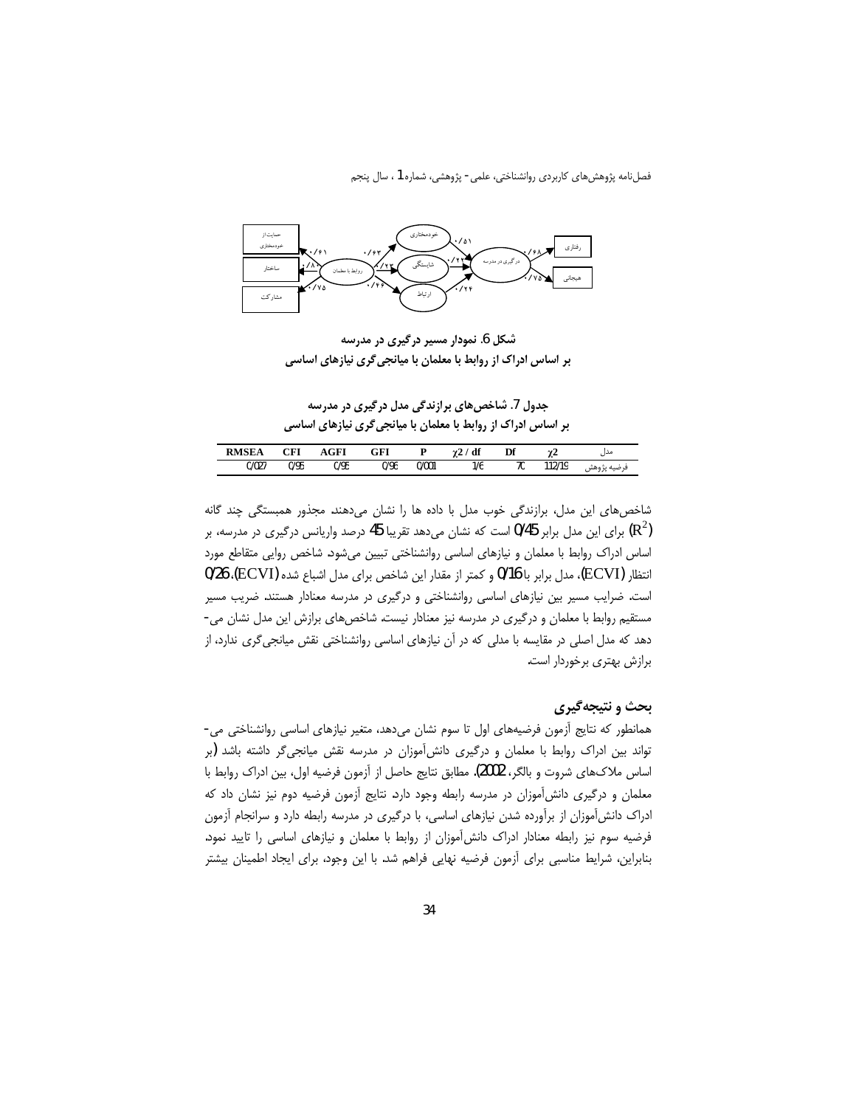

شکل 6. نمودار مسیر درگیری در مدرسه بر اساس ادراک از روابط با معلمان با میانجی گری نیازهای اساسی

جدول 7. شاخصهای برازندگی مدل درگیری در مدرسه بر اساس ادراک از روابط با معلمان با میانجی گری نیازهای اساسی

| <b>RMSE</b> | CEI<br>∪rı | AGFI | $\alpha$ et<br>եք |       | df  | Г¥<br>ш | A£<br>. . | مدں                                     |
|-------------|------------|------|-------------------|-------|-----|---------|-----------|-----------------------------------------|
| 0/027       | 0/95       | 0/95 | 0/96              | 0/001 | 1/6 | 70      | 112/19    | ی صنه<br>フパ<br>$\overline{\phantom{a}}$ |

شاخصهای این مدل، برازندگی خوب مدل با داده ها را نشان میدهند. مجذور همبستگی چند گانه (R<sup>2</sup>) برای این مدل برابر 0/45 است که نشان میدهد تقریبا 45 درصد واریانس درگیری در مدرسه، بر اساس ادراک روابط با معلمان و نیازهای اساسی روانشناختی تبیین میشود. شاخص روایی متقاطع مورد انتظار (ECVI)، مدل برابر با 0/16 و كمتر از مقدار اين شاخص براي مدل اشباع شده (ECVI)، 0/26) است. ضرایب مسیر بین نیازهای اساسی روانشناختی و درگیری در مدرسه معنادار هستند. ضریب مسیر مستقیم روابط با معلمان و درگیری در مدرسه نیز معنادار نیست. شاخص های برازش این مدل نشان می-دهد که مدل اصلی در مقایسه با مدلی که در آن نیازهای اساسی روانشناختی نقش میانجیگری ندارد، از برازش بهتری برخوردار است.

# بحث و نتيجه گيري

همانطور که نتایج آزمون فرضیههای اول تا سوم نشان میدهد، متغیر نیازهای اساسی روانشناختی می-تواند بین ادراک روابط با معلمان و درگیری دانش[موزان در مدرسه نقش میانجیگر داشته باشد (بر اساس ملاكـهاي شروت و بالگر، 2002). مطابق نتايج حاصل از آزمون فرضيه اول، بين ادراک روابط با معلمان و درگیری دانش آموزان در مدرسه رابطه وجود دارد. نتایج آزمون فرضیه دوم نیز نشان داد که ادراک دانش آموزان از برآورده شدن نیازهای اساسی، با درگیری در مدرسه رابطه دارد و سرانجام اَزمون فرضیه سوم نیز رابطه معنادار ادراک دانش آموزان از روابط با معلمان و نیازهای اساسی را تایید نمود. بنابراین، شرایط مناسبی برای آزمون فرضیه نهایی فراهم شد. با این وجود، برای ایجاد اطمینان بیشتر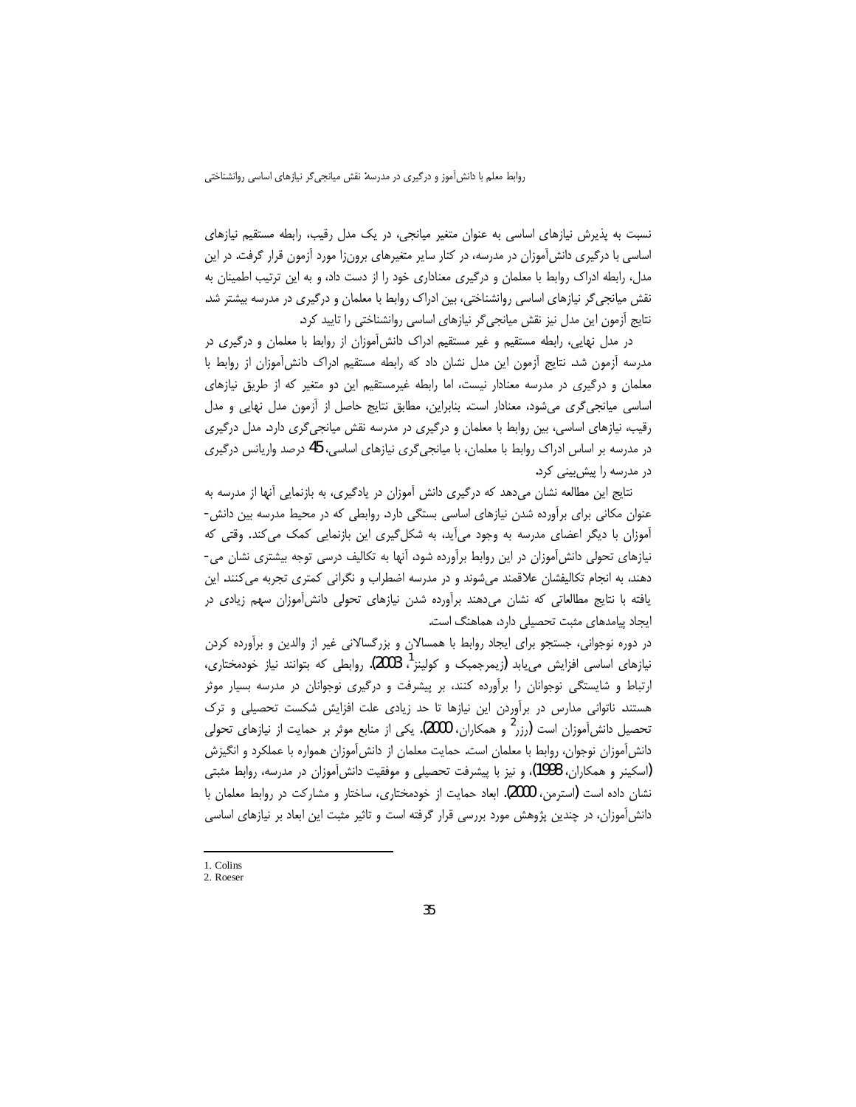نسبت به پذیرش نیازهای اساسی به عنوان متغیر میانجی، در یک مدل رقیب، رابطه مستقیم نیازهای اساسی با درگیری دانش آموزان در مدرسه، در کنار سایر متغیرهای برون;ا مورد آزمون قرار گرفت. در این مدل، رابطه ادراک روابط با معلمان و درگیری معناداری خود را از دست داد، و به این ترتیب اطمینان به نقش میانجی گر نیازهای اساسی روانشناختی، بین ادراک روابط با معلمان و درگیری در مدرسه بیشتر شد. نتايج آزمون اين مدل نيز نقش ميانجيگر نيازهاي اساسي روانشناختي را تاييد كرد.

در مدل نهایی، رابطه مستقیم و غیر مستقیم ادراک دانش آموزان از روابط با معلمان و درگیری در مدرسه آزمون شد. نتايج آزمون اين مدل نشان داد كه رابطه مستقيم ادراك دانش آموزان از روابط با معلمان و درگیری در مدرسه معنادار نیست، اما رابطه غیرمستقیم این دو متغیر که از طریق نیازهای اساسی میانجیگری میشود، معنادار است. بنابراین، مطابق نتایج حاصل از آزمون مدل نهایی و مدل رقیب، نیازهای اساسی، بین روابط با معلمان و درگیری در مدرسه نقش میانجیگری دارد. مدل درگیری در مدرسه بر اساس ادراک روابط با معلمان، با میانجیگری نیازهای اساسی، 45 درصد واریانس درگیری در مدرسه را پیش بینی کرد.

نتايج اين مطالعه نشان مى دهد كه درگيرى دانش آموزان در يادگيرى، به بازنمايي آنها از مدرسه به عنوان مکانی برای براًورده شدن نیازهای اساسی بستگی دارد. روابطی که در محیط مدرسه بین دانش-آموزان با دیگر اعضای مدرسه به وجود میأید، به شکل *گ*یری این بازنمایی کمک میکند. وقتی که نیازهای تحولی دانش آموزان در این روابط برآورده شود، آنها به تکالیف درسی توجه بیشتری نشان می-دهند، به انجام تكاليفشان علاقمند مىشوند و در مدرسه اضطراب و نگرانى كمترى تجربه مىكنند. اين يافته با نتايج مطالعاتي كه نشان مىدهند برأورده شدن نيازهاى تحولى دانش[موزان سهم زيادى در ایجاد ییامدهای مثبت تحصیلی دارد، هماهنگ است.

در دوره نوجوانی، جستجو برای ایجاد روابط با همسالان و بزرگسالانی غیر از والدین و برآورده کردن نیازهای اساسی افزایش مییابد (زیمرجمبک و کولینز<sup>1</sup>، 2003). روابطی که بتوانند نیاز خودمختاری، ارتباط و شایستگی نوجوانان را برآورده کنند، بر پیشرفت و درگیری نوجوانان در مدرسه بسیار موثر هستند. ناتوانی مدارس در برأوردن این نیازها تا حد زیادی علت افزایش شکست تحصیلی و ترک تحصیل دانش[موزان است (رزر<sup>2</sup> و همکاران، 2000). یکی از منابع موثر بر حمایت از نیازهای تحولی دانش[موزان نوجوان، روابط با معلمان است. حمايت معلمان از دانش[موزان همواره با عملكرد و انگيزش (اسکینر و همکاران، 1998)، و نیز با پیشرفت تحصیلی و موفقیت دانشآموزان در مدرسه، روابط مثبتی نشان داده است (استرمن، 2000). ابعاد حمايت از خودمختارى، ساختار و مشاركت در روابط معلمان با دانش آموزان، در چندین پژوهش مورد بررسی قرار گرفته است و تاثیر مثبت این ابعاد بر نیازهای اساسی

 $\overline{\phantom{a}}$ 

<sup>1.</sup> Colins

<sup>2.</sup> Roeser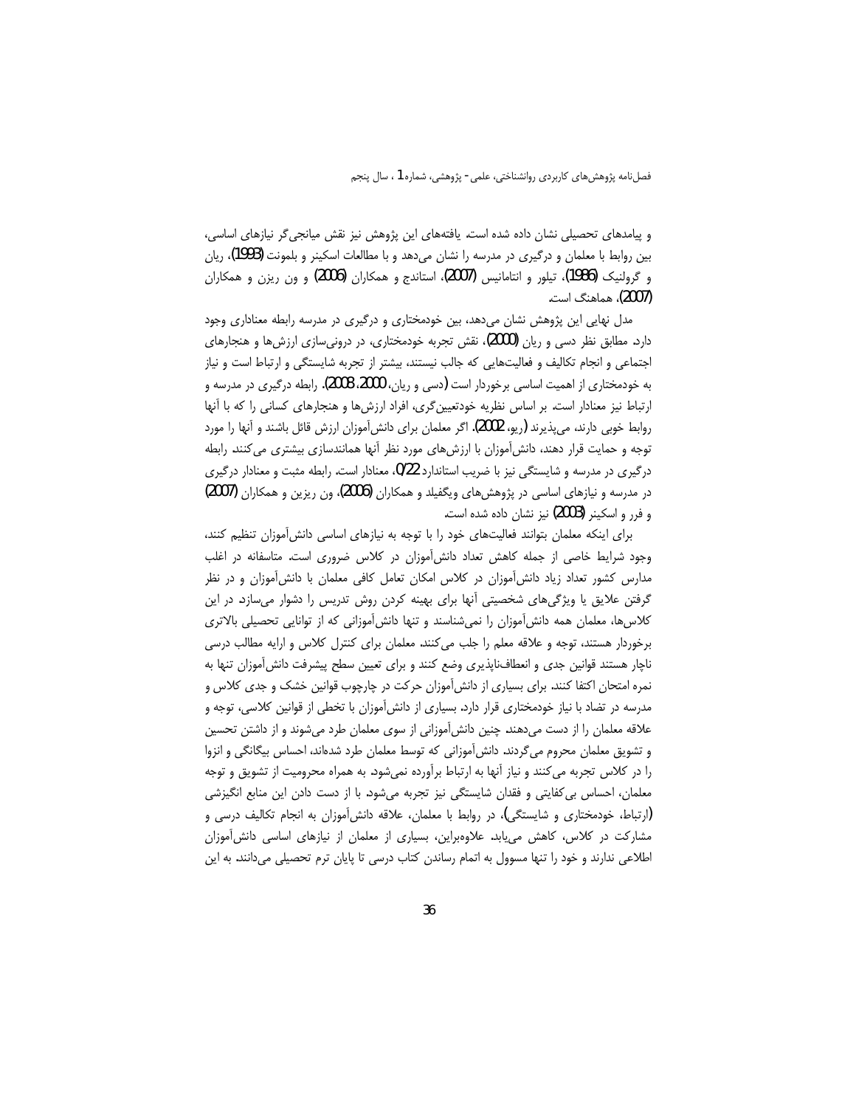و پیامدهای تحصیلی نشان داده شده است. یافتههای این پژوهش نیز نقش میانجی گر نیازهای اساسی، بین روابط با معلمان و درگیری در مدرسه را نشان می دهد و با مطالعات اسکینر و بلمونت (1993)، ریان و گرولنیک (1986)، تیلور و انتامانیس (2007)، استاندج و همکاران (2006) و ون ریزن و همکاران (2007)، هماهنگ است.

مدل نهایی این پژوهش نشان میدهد، بین خودمختاری و درگیری در مدرسه رابطه معناداری وجود دارد. مطابق نظر دسی و ریان (2000)، نقش تجربه خودمختاری، در درونی سازی ارزش ها و هنجارهای اجتماعی و انجام تکالیف و فعالیتهایی که جالب نیستند، بیشتر از تجربه شایستگی و ارتباط است و نیاز به خودمختاری از اهمیت اساسی برخوردار است (دسی و ریان، 2000، 2008). رابطه درگیری در مدرسه و ارتباط نیز معنادار است. بر اساس نظریه خودتعیین گری، افراد ارزشها و هنجارهای کسانی را که با آنها روابط خوبی دارند، می پذیرند (ریو، 2002). اگر معلمان برای دانش[موزان ارزش قائل باشند و آنها را مورد توجه و حمایت قرار دهند، دانش آموزان با ارزشهای مورد نظر آنها همانندسازی بیشتری می کنند. رابطه درگیری در مدرسه و شایستگی نیز با ضریب استاندارد 0/22، معنادار است. رابطه مثبت و معنادار درگیری در مدرسه و نیازهای اساسی در پژوهش های ویگفیلد و همکاران (2006)، ون ریزین و همکاران (2007) و فرر و اسکینر (2003) نیز نشان داده شده است.

برای اینکه معلمان بتوانند فعالیتهای خود را با توجه به نیازهای اساسی دانش آموزان تنظیم کنند، وجود شرایط خاصی از جمله کاهش تعداد دانش آموزان در کلاس ضروری است. متاسفانه در اغلب مدارس کشور تعداد زیاد دانش آموزان در کلاس امکان تعامل کافی معلمان با دانش آموزان و در نظر گرفتن علایق یا ویژگیهای شخصیتی أنها برای بهینه کردن روش تدریس را دشوار میسازد. در این كلاسها، معلمان همه دانش آموزان را نمى شناسند و تنها دانش آموزانى كه از توانايى تحصيلى بالاترى برخوردار هستند، توجه و علاقه معلم را جلب می کنند. معلمان برای کنترل کلاس و ارایه مطالب درسی ناچار هستند قوانین جدی و انعطافناپذیری وضع کنند و برای تعیین سطح پیشرفت دانش آموزان تنها به نمره امتحان اکتفا کنند. برای بسیاری از دانش آموزان حرکت در چارچوب قوانین خشک و جدی کلاس و مدرسه در تضاد با نیاز خودمختاری قرار دارد. بسیاری از دانش آموزان با تخطی از قوانین کلاسی، توجه و علاقه معلمان را از دست میدهند. چنین دانش آموزانی از سوی معلمان طرد میشوند و از داشتن تحسین و تشویق معلمان محروم می گردند. دانش آموزانی که توسط معلمان طرد شدهاند، احساس بیگانگی و انزوا را در کلاس تجربه میکنند و نیاز آنها به ارتباط برآورده نمیشود. به همراه محرومیت از تشویق و توجه معلمان، احساس بی کفایتی و فقدان شایستگی نیز تجربه میشود. با از دست دادن این منابع انگیزشی (ارتباط، خودمختاری و شایستگی)، در روابط با معلمان، علاقه دانشآموزان به انجام تکالیف درسی و مشارکت در کلاس، کاهش می یابد. علاوهبراین، بسیاری از معلمان از نیازهای اساسی دانش آموزان اطلاعی ندارند و خود را تنها مسوول به اتمام رساندن کتاب درسی تا پایان ترم تحصیلی میدانند. به این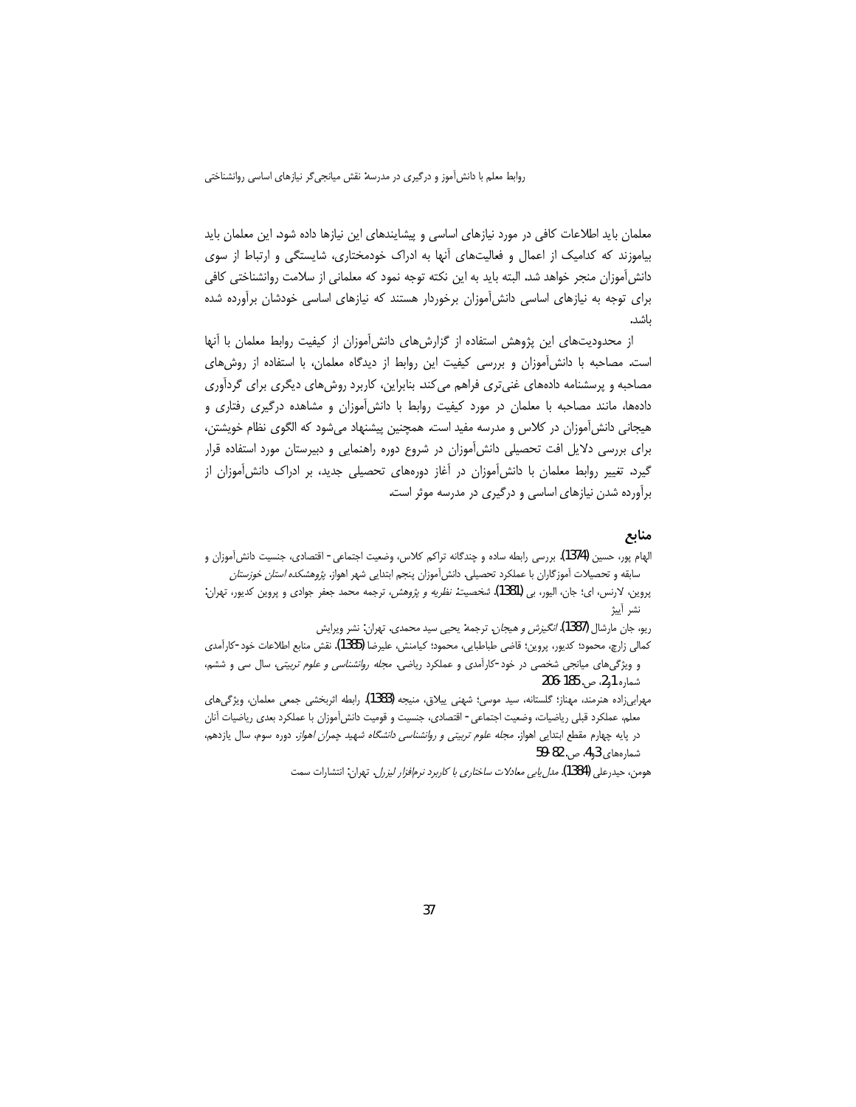معلمان باید اطلاعات کافی در مورد نیازهای اساسی و پیشایندهای این نیازها داده شود. این معلمان باید بیاموزند که کدامیک از اعمال و فعالیتهای آنها به ادراک خودمختاری، شایستگی و ارتباط از سوی دانش[موزان منجر خواهد شد. البته باید به این نکته توجه نمود که معلمانی از سلامت روانشناختی کافی برای توجه به نیازهای اساسی دانش آموزان برخوردار هستند که نیازهای اساسی خودشان برآورده شده ىاشد.

از محدودیتهای این پژوهش استفاده از گزارشهای دانش آموزان از کیفیت روابط معلمان با آنها است. مصاحبه با دانش آموزان و بررسی کیفیت این روابط از دیدگاه معلمان، با استفاده از روشهای مصاحبه و پرسشنامه دادههای غنیتری فراهم میکند. بنابراین، کاربرد روشهای دیگری برای گردآوری دادهها، مانند مصاحبه با معلمان در مورد کیفیت روابط با دانشآموزان و مشاهده درگیری رفتاری و هیجانی دانش آموزان در کلاس و مدرسه مفید است. همچنین پیشنهاد میشود که الگوی نظام خویشتن، برای بررسی دلایل افت تحصیلی دانش آموزان در شروع دوره راهنمایی و دبیرستان مورد استفاده قرار گیرد. تغییر روابط معلمان با دانش آموزان در آغاز دورههای تحصیلی جدید، بر ادراک دانش آموزان از برآورده شدن نیازهای اساسی و درگیری در مدرسه موثر است.

### منابع

الهام يور، حسين (1374). بررسي رابطه ساده و چندگانه تراكم كلاس، وضعيت اجتماعي - اقتصادي، جنسيت دانش[موزان و سابقه و تحصیلات آموزگاران با عملکرد تحصیلی. دانش آموزان پنجم ابتدایی شهر اهواز. *پژوهشکده استان خوزستان* 

پروین، لارنس، ای؛ جان، الیور، بی (1381). *شخصیت: نظریه و پژوهش، ت*رجمه محمد جعفر جوادی و پروین کدیور، تهران: نشر آىۂ

ریو، جان مارشال (1387)*. انگیزش و هیجان*. ترجمه: یحیی سید محمدی. تهران: نشر ویرایش

كمالي زارچ، محمود؛ كديور، پروين؛ قاضي طباطبايي، محمود؛ كيامنش، عليرضا (1385). نقش منابع اطلاعات خود-كارآمدي و ویژگیهای میانجی شخصی در خود-کارآمدی و عملکرد ریاضی. *مجله روانشناسی و علوم تربیتی،* سال سی و ششم، شماره 1و2، ص. 185-206

مهرابی;(ده هنرمند، مهناز؛ گلستانه، سید موسی؛ شهنی ییلاق، منیجه (1383). رابطه اثربخشی جمعی معلمان، ویژگیهای معلم، عملكرد قبلي رياضيات، وضعيت اجتماعي - اقتصادي، جنسيت و قوميت دانشآموزان با عملكرد بعدي رياضيات آنان در پایه چهارم مقطع ابتدایی اهواز. *مجله علوم تربیتی و روانشناسی دانشگاه شهید چمران اهواز.* دوره سوم، سال یازدهم، شمارەھاي 43 ص. 82-59

هومن، حيدرعلي (1384). *مدل يابي معادلات ساختاري با كاربرد نرم|فزار ليزرل*. تهران: انتشارات سمت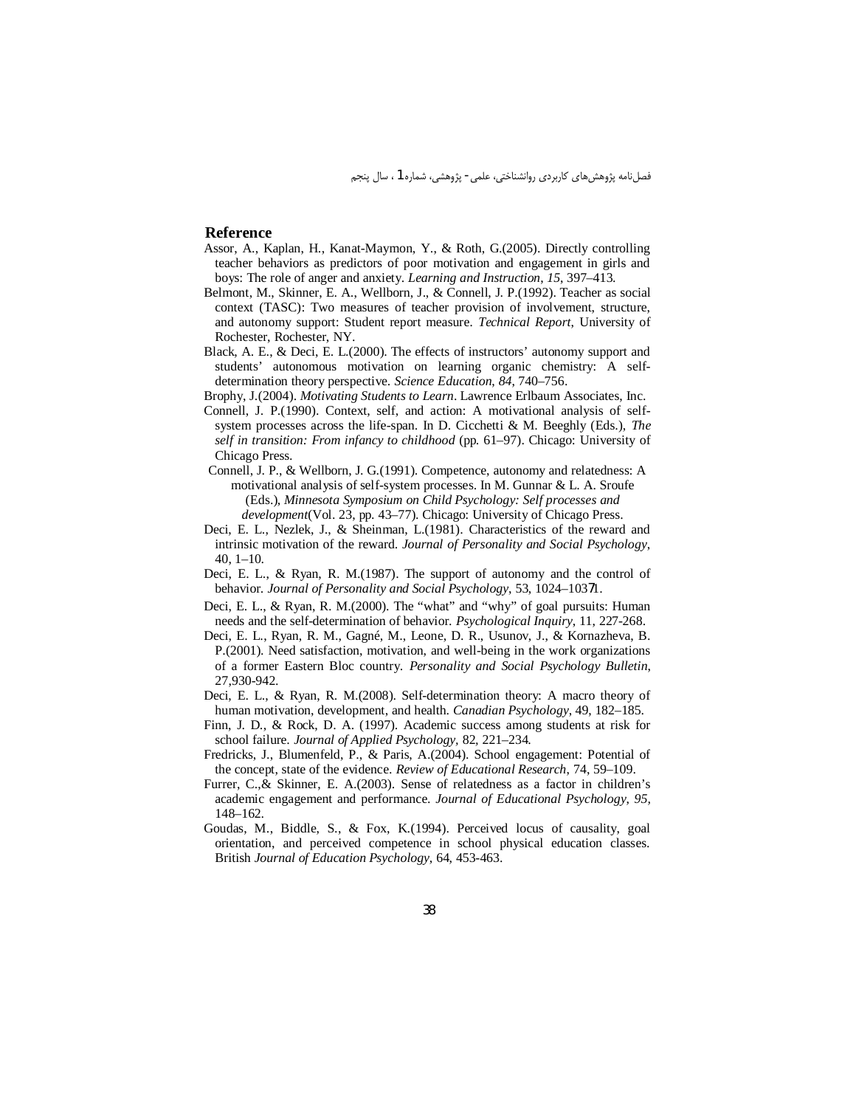#### **Reference**

- Assor, A., Kaplan, H., Kanat-Maymon, Y., & Roth, G.(2005). Directly controlling teacher behaviors as predictors of poor motivation and engagement in girls and boys: The role of anger and anxiety. Learning and Instruction, 15, 397-413.
- Belmont, M., Skinner, E. A., Wellborn, J., & Connell, J. P.(1992). Teacher as social context (TASC): Two measures of teacher provision of involvement, structure, and autonomy support: Student report measure. Technical Report, University of Rochester, Rochester, NY.
- Black, A. E., & Deci, E. L.(2000). The effects of instructors' autonomy support and students' autonomous motivation on learning organic chemistry: A selfdetermination theory perspective. Science Education, 84, 740-756.
- Brophy, J.(2004). Motivating Students to Learn. Lawrence Erlbaum Associates, Inc.
- Connell, J. P.(1990). Context, self, and action: A motivational analysis of selfsystem processes across the life-span. In D. Cicchetti & M. Beeghly (Eds.), The self in transition: From infancy to childhood (pp. 61–97). Chicago: University of Chicago Press.
- Connell, J. P., & Wellborn, J. G. (1991). Competence, autonomy and relatedness: A motivational analysis of self-system processes. In M. Gunnar & L. A. Sroufe (Eds.), Minnesota Symposium on Child Psychology: Self processes and development(Vol. 23, pp. 43-77). Chicago: University of Chicago Press.
- Deci, E. L., Nezlek, J., & Sheinman, L.(1981). Characteristics of the reward and intrinsic motivation of the reward. Journal of Personality and Social Psychology,  $40, 1-10.$
- Deci, E. L., & Ryan, R. M.(1987). The support of autonomy and the control of behavior. Journal of Personality and Social Psychology, 53, 1024-10371.
- Deci, E. L., & Ryan, R. M.(2000). The "what" and "why" of goal pursuits: Human needs and the self-determination of behavior. Psychological Inquiry, 11, 227-268.
- Deci, E. L., Ryan, R. M., Gagné, M., Leone, D. R., Usunov, J., & Kornazheva, B. P.(2001). Need satisfaction, motivation, and well-being in the work organizations of a former Eastern Bloc country. Personality and Social Psychology Bulletin, 27,930-942.
- Deci, E. L., & Ryan, R. M. (2008). Self-determination theory: A macro theory of human motivation, development, and health. Canadian Psychology, 49, 182–185.
- Finn, J. D., & Rock, D. A. (1997). Academic success among students at risk for school failure. Journal of Applied Psychology, 82, 221-234.
- Fredricks, J., Blumenfeld, P., & Paris, A.(2004). School engagement: Potential of the concept, state of the evidence. Review of Educational Research, 74, 59-109.
- Furrer, C., & Skinner, E. A.(2003). Sense of relatedness as a factor in children's academic engagement and performance. Journal of Educational Psychology, 95, 148-162.
- Goudas, M., Biddle, S., & Fox, K.(1994). Perceived locus of causality, goal orientation, and perceived competence in school physical education classes. British Journal of Education Psychology, 64, 453-463.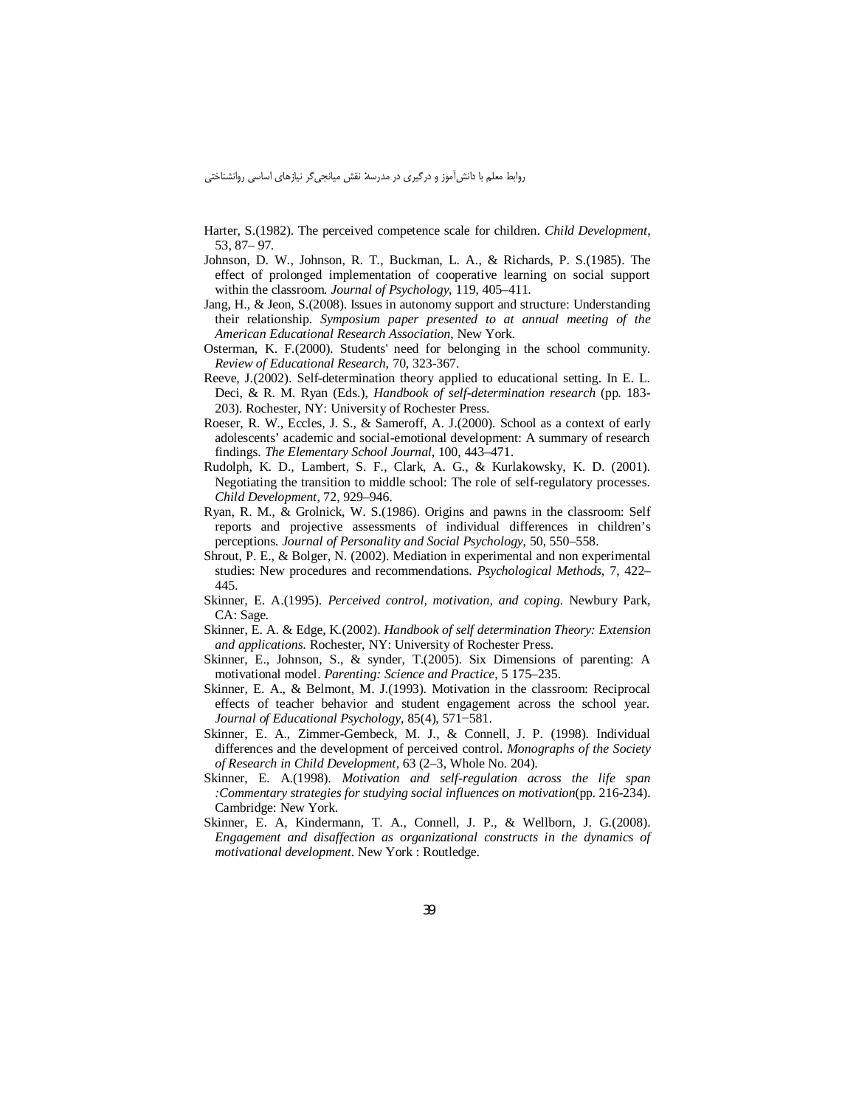Harter, S.(1982). The perceived competence scale for children. Child Development, 53, 87 - 97.

- Johnson, D. W., Johnson, R. T., Buckman, L. A., & Richards, P. S.(1985). The effect of prolonged implementation of cooperative learning on social support within the classroom. Journal of Psychology, 119, 405-411.
- Jang, H., & Jeon, S. (2008). Issues in autonomy support and structure: Understanding their relationship. Symposium paper presented to at annual meeting of the American Educational Research Association, New York.
- Osterman, K. F. (2000). Students' need for belonging in the school community. Review of Educational Research, 70, 323-367.
- Reeve, J. (2002). Self-determination theory applied to educational setting. In E. L. Deci, & R. M. Ryan (Eds.), Handbook of self-determination research (pp. 183-203). Rochester, NY: University of Rochester Press.
- Roeser, R. W., Eccles, J. S., & Sameroff, A. J.(2000). School as a context of early adolescents' academic and social-emotional development: A summary of research findings. The Elementary School Journal, 100, 443-471.
- Rudolph, K. D., Lambert, S. F., Clark, A. G., & Kurlakowsky, K. D. (2001). Negotiating the transition to middle school: The role of self-regulatory processes. Child Development, 72, 929-946.
- Ryan, R. M., & Grolnick, W. S.(1986). Origins and pawns in the classroom: Self reports and projective assessments of individual differences in children's perceptions. Journal of Personality and Social Psychology, 50, 550–558.
- Shrout, P. E., & Bolger, N. (2002). Mediation in experimental and non experimental studies: New procedures and recommendations. *Psychological Methods*, 7, 422– 445.
- Skinner, E. A.(1995). Perceived control, motivation, and coping. Newbury Park, CA: Sage.
- Skinner, E. A. & Edge, K.(2002). Handbook of self determination Theory: Extension and applications. Rochester, NY: University of Rochester Press.
- Skinner, E., Johnson, S., & synder, T.(2005). Six Dimensions of parenting: A motivational model. Parenting: Science and Practice, 5 175-235.
- Skinner, E. A., & Belmont, M. J.(1993). Motivation in the classroom: Reciprocal effects of teacher behavior and student engagement across the school year. Journal of Educational Psychology, 85(4), 571–581.
- Skinner, E. A., Zimmer-Gembeck, M. J., & Connell, J. P. (1998). Individual differences and the development of perceived control. Monographs of the Society of Research in Child Development, 63 (2–3, Whole No. 204).
- Skinner, E. A.(1998). Motivation and self-regulation across the life span :Commentary strategies for studying social influences on motivation(pp. 216-234). Cambridge: New York.
- Skinner, E. A, Kindermann, T. A., Connell, J. P., & Wellborn, J. G.(2008). Engagement and disaffection as organizational constructs in the dynamics of motivational development. New York: Routledge.